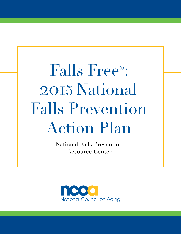Falls Free®: 2015 National **Falls Prevention Action Plan** 

> National Falls Prevention Resource Center

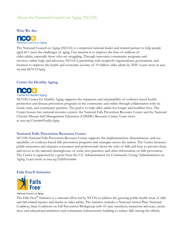# About the National Council on Aging (NCOA)





The National Council on Aging (NCOA) is a respected national leader and trusted partner to help people aged 60+ meet the challenges of aging. Our mission is to improve the lives of millions of older adults, especially those who are struggling. Through innovative community programs and services, online help, and advocacy, NCOA is partnering with nonprofit organizations, government, and business to improve the health and economic security of 10 million older adults by 2020. Learn more at *ncoa. org* and *@NCOAging*.

### **Center for Healthy Aging**



**Center for Healthy Aging** 

NCOA's Center for Healthy Aging supports the expansion and sustainability of evidence-based health promotion and disease prevention programs in the community and online through collaboration with national, state, and community partners. The goal is to help older adults live longer and healthier lives. The Center houses two national resource centers: the National Falls Prevention Resource Center and the National Chronic Disease Self-Management Education (CDSME) Resource Center. Learn more at *ncoa.org/CenterforHealthyAging*.

### **National Falls Prevention Resource Center**

NCOA's National Falls Prevention Resource Center supports the implementation, dissemination, and sustainability of evidence-based falls prevention programs and strategies across the nation. The Center increases public awareness and educates consumers and professionals about the risks of falls and how to prevent them, and serves as the national clearinghouse of tools, best practices, and other information on falls prevention. The Center is supported by a grant from the U.S. Administration for Community Living/Administration on Aging. Learn more at *ncoa.org/FallsPrevention*.

### **Falls Free® Initiative**



National Council on Aging

The Falls Free® Initiative is a national effort led by NCOA to address the growing public health issue of falls and fall-related injuries and deaths in older adults. The initiative includes a National Action Plan; National Coalition; State Coalitions on Fall Prevention Workgroup with 43 state members; numerous advocacy, awareness, and educational initiatives; and community infrastructure building to reduce falls among the elderly.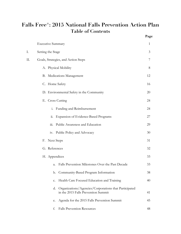# **Falls Free®: 2015 National Falls Prevention Action Plan Table of Contents Page**

|    |                                                                                                 | $\overline{\phantom{a}}$ |
|----|-------------------------------------------------------------------------------------------------|--------------------------|
|    | <b>Executive Summary</b>                                                                        | 1                        |
| I. | Setting the Stage                                                                               | 3                        |
| Π. | Goals, Strategies, and Action Steps                                                             | 7                        |
|    | A. Physical Mobility                                                                            | 8                        |
|    | B. Medications Management                                                                       | 12                       |
|    | C. Home Safety                                                                                  | 16                       |
|    | D. Environmental Safety in the Community                                                        | 20                       |
|    | E. Cross Cutting                                                                                | 24                       |
|    | Funding and Reimbursement<br>$\ddot{1}$ .                                                       | 24                       |
|    | <b>Expansion of Evidence-Based Programs</b><br>ii.                                              | 27                       |
|    | $\dddot{\mathbf{m}}$ .<br>Public Awareness and Education                                        | 29                       |
|    | iv. Public Policy and Advocacy                                                                  | 30                       |
|    | F. Next Steps                                                                                   | 31                       |
|    | G. References                                                                                   | 32                       |
|    | H. Appendices                                                                                   | 33                       |
|    | Falls Prevention Milestones Over the Past Decade<br>a.                                          | 33                       |
|    | Community-Based Program Information<br>b.                                                       | 38                       |
|    | Health Care Focused Education and Training<br>c.                                                | 40                       |
|    | d. Organizations/Agencies/Corporations that Participated<br>in the 2015 Falls Prevention Summit | 41                       |
|    | Agenda for the 2015 Falls Prevention Summit<br>e.                                               | 45                       |
|    | <b>Falls Prevention Resources</b><br>f.                                                         | 48                       |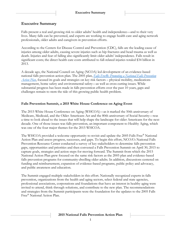# **Executive Summary**

Falls present a real and growing risk to older adults' health and independence—and to their very lives. Many falls can be prevented, and experts are working to engage health care and aging network professionals, older adults and caregivers in prevention efforts.

According to the Centers for Disease Control and Prevention (CDC), falls are the leading cause of injuries among older adults, causing severe injuries such as hip fractures and head trauma as well as death. Injuries and fear of falling also significantly limit older adults' independence. Falls result in significant costs; the direct health care costs attributed to fall-related injuries totaled \$34 billion in 2013.

A decade ago, the National Council on Aging (NCOA) led development of an evidence-based national falls prevention action plan. The 2005 plan, *[Falls Free®: Promoting a National Falls Prevention](http://www.ncoa.org/improve-health/center-for-healthy-aging/content-library/FallsFree_NationalActionPlan_Final.pdf)  [Action Plan](http://www.ncoa.org/improve-health/center-for-healthy-aging/content-library/FallsFree_NationalActionPlan_Final.pdf)*, focused its goals and strategies on key risk factors – physical mobility, medications management, home safety and environmental safety—as well as cross cutting issues. While substantial progress has been made in falls prevention efforts over the past 10 years, gaps and challenges remain to stem the tide of this growing public health problem.

### **Falls Prevention Summit, a 2015 White House Conference on Aging Event**

The 2015 White House Conference on Aging (WHCOA)—as it marked the 50th anniversary of Medicare, Medicaid, and the Older Americans Act and the 80th anniversary of Social Security—was a time to look ahead to the issues that will help shape the landscape for older Americans for the next decade. One of those issues was falls prevention, an important component to Healthy Aging, which was one of the four major themes for the 2015 WHCOA.

The WHCOA provided a welcome opportunity to revisit and update the 2005 Falls Free® National Action Plan and assess progress, successes, and gaps. To begin this effort, NCOA's National Falls Prevention Resource Center conducted a survey of key stakeholders to determine falls prevention gaps, opportunities and priorities and then convened a Falls Prevention Summit on April 30, 2015 to capture goals, strategies and action steps for moving forward. The Summit from which the 2015 National Action Plan grew focused on the same risk factors as the 2005 plan and evidence-based falls prevention programs for community-dwelling older adults. In addition, discussions centered on funding and reimbursement, expansion of evidence-based programs, public policy and advocacy, and public awareness and education.

The Summit engaged multiple stakeholders in this effort. Nationally recognized experts in falls prevention, organizations from the health and aging sectors, select federal and state agencies, professional associations, corporations and foundations that have an interest in healthy aging were invited to attend, think through solutions, and contribute to the new plan. The recommendations and strategies from the Summit participants were the foundation for the updates to the 2005 Falls Free® National Action Plan.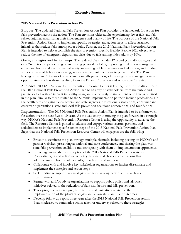#### **2015 National Falls Prevention Action Plan**

**Purpose:** The updated National Falls Prevention Action Plan provides the framework for action for falls prevention across the nation. The Plan envisions older adults experiencing fewer falls and fallrelated injuries, maximizing their independence and quality of life. The purpose of the National Falls Prevention Action Plan is to implement specific strategies and action steps to affect sustained initiatives that reduce falls among older adults. Further, the 2015 National Falls Prevention Action Plan is intended to help accomplish the falls prevention-specific Healthy People 2020 objective to reduce the rate of emergency department visits due to falls among older adults by 10%.

**Goals, Strategies and Action Steps:** The updated Plan includes 12 broad goals, 40 strategies and over 240 action steps focusing on increasing physical mobility, improving medication management, enhancing home and environmental safety, increasing public awareness and education, and funding and expansion of falls risk screening, assessment, and interventions to prevent falls. The Plan leverages the past 10 years of advancement in falls prevention, addresses gaps, and integrates new opportunities, such as those resulting from the Patient Protection and Affordable Care Act.

**Audience:** NCOA's National Falls Prevention Resource Center is leading the effort to disseminate the 2015 National Falls Prevention Action Plan to an array of stakeholders from the public and private sectors with an interest in healthy aging and the capacity to implement action steps outlined in the plan. Similar to those invited to the Summit, implementation partners include professionals in the health care and aging fields, federal and state agencies, professional associations, consumer and caregiver organizations, state and local falls prevention coalitions corporations, and foundations.

**Implementation:** The 2015 National Falls Prevention Action Plan is intended to be a framework for action over the next five to 10 years. As the lead entity in moving the plan forward in a strategic way, NCOA's National Falls Prevention Resource Center is using the opportunity to advance the field. The Resource Center is poised to educate and engage various sectors, partners, and stakeholders to implement specific action steps of the 2015 National Falls Prevention Action Plan. Steps that the National Falls Prevention Resource Center will engage in are the following:

- Broadly disseminate the plan through multiple channels, including posting on NCOA's and partner websites, presenting at national and state conferences, and sharing the plan with state falls prevention coalitions and strategizing with them on implementation approaches.
- Encourage ownership and adoption of the 2015 National Falls Prevention Action Plan's strategies and action steps by key national stakeholder organizations that address issues related to older adults, their health and wellness.
- Collaborate with and involve key stakeholder organizations to further disseminate and implement the strategies and action steps.
- Seek funding to support key strategies, alone or in conjunction with stakeholder organizations.
- Partner with and/or advise organizations to support public policy and advocacy initiatives related to the reduction of falls risk factors and falls prevention.
- Track progress by identifying national and state initiatives related to the implementation of the plan's strategies and action steps and their outcomes.
- Develop follow-up report three years after the 2015 National Falls Prevention Action Plan is released to summarize action taken or underway related to these strategies.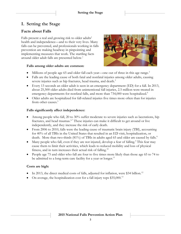# **I. Setting the Stage**

# **Facts about Falls**

Falls present a real and growing risk to older adults' health and independence—and to their very lives. Many falls can be prevented, and professionals working in falls prevention are making headway in pinpointing and implementing measures that work. The startling facts around older adult falls are presented below. 1



#### **Falls among older adults are common:**

- Millions of people age 65 and older fall each year—one out of three in this age range.<sup>2</sup>
- Falls are the leading cause of both fatal and nonfatal injuries among older adults, causing severe injuries such as hip fractures, head trauma, and death.<sup>3</sup>
- Every 13 seconds an older adult is seen in an emergency department (ED) for a fall. In 2013, about 25,500 older adults died from unintentional fall injuries, 2.5 million were treated in emergency departments for nonfatal falls, and more than 734,000 were hospitalized.<sup>4</sup>
- Older adults are hospitalized for fall-related injuries five times more often than for injuries from other causes.<sup>5</sup>

### **Falls significantly affect independence:**

- Among people who fall, 20 to 30% suffer moderate to severe injuries such as lacerations, hip fractures, and head traumas.<sup>6,7</sup> These injuries can make it difficult to get around or live independently, and they increase the risk of early death.
- From 2006 to 2010, falls were the leading cause of traumatic brain injury (TBI), accounting for 40% of all TBIs in the United States that resulted in an ED visit, hospitalization, or death. More than two-thirds (81%) of TBIs in adults aged 65 and older are caused by falls.<sup>8</sup>
- Many people who fall, even if they are not injured, develop a fear of falling.<sup>9</sup> This fear may cause them to limit their activities, which leads to reduced mobility and loss of physical fitness, and in turn increases their actual risk of falling.<sup>10</sup>
- People age 75 and older who fall are four to five times more likely than those age 65 to 74 to be admitted to a long-term care facility for a year or longer.<sup>11</sup>

### **Costs are high:**

- In 2013, the direct medical costs of falls, adjusted for inflation, were \$34 billion.<sup>12</sup>
- On average, the hospitalization cost for a fall injury tops  $$35,000.<sup>13</sup>$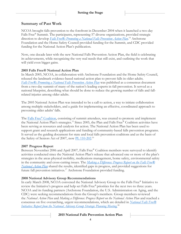## **Summary of Past Work**

NCOA brought falls prevention to the forefront in December 2004 when it launched a two-day Falls Free® Summit. The participants, representing 57 diverse organizations, provided strategic direction to develop *[Falls Free®: Promoting a National Falls Prevention Action Plan](http://www.ncoa.org/improve-health/center-for-healthy-aging/content-library/FallsFree_NationalActionPlan_Final.pdf)*. <sup>14</sup> Archstone Foundation and the Home Safety Council provided funding for the Summit, and CDC provided funding for the National Action Plan's publication.

Now, one decade later with the new National Falls Prevention Action Plan, the field is celebrating its achievements, while recognizing the very real needs that still exist, and outlining the work that will yield even bigger gains.

#### **2005 Falls Free® National Action Plan**

In March 2005, NCOA, in collaboration with Archstone Foundation and the Home Safety Council, released the landmark evidence-based national action plan to prevent falls in older adults. *[Falls Free®: Promoting a National Falls Prevention Action Plan](http://www.ncoa.org/improve-health/center-for-healthy-aging/content-library/FallsFree_NationalActionPlan_Final.pdf)* was published as a consensus document from a two-day summit of many of the nation's leading experts in fall prevention. It served as a national blueprint, describing what should be done to reduce the growing number of falls and fallrelated injuries among older adults.

The 2005 National Action Plan was intended to be a call to action, a way to initiate collaboration among multiple stakeholders, and a guide for implementing an effective, coordinated approach to preventing older adults' falls.

The [Falls Free](http://www.ncoa.org/improve-health/center-for-healthy-aging/falls-prevention/falls-free-initiative.html#falls%20free%20coalition)® Coalition, consisting of summit attendees, was created to promote and implement the National Action Plan's strategies.<sup>15</sup> Since 2005, the Plan and Falls Free® Coalition activities have been serving as resources and catalysts for action. The National Action Plan has been used to support grant and research applications and funding of community-based falls prevention programs. It served as the guiding document for state and local falls prevention coalitions and as the basis of the Safety of Seniors Act of 2007, now [PL 110-202.](http://www.gpo.gov/fdsys/pkg/PLAW-110publ202/pdf/PLAW-110publ202.pdf)<sup>16</sup>

### **2007 Progress Report**

Between November 2006 and April 2007, Falls Free® Coalition members were surveyed to identify activities conducted since the National Action Plan's release that advanced one or more of the plan's strategies in the areas physical mobility, medications management, home safety, environmental safety in the community and cross-cutting issues. The *[Making a Difference: Progress Report on the Falls Free®](http://www.ncoa.org/improve-health/center-for-healthy-aging/content-library/NCOA18-Month-Falls-Report_FINAL.pdf)  [National Action Plan](http://www.ncoa.org/improve-health/center-for-healthy-aging/content-library/NCOA18-Month-Falls-Report_FINAL.pdf)* shared the results, identified gaps in progress, and provided suggestions for future fall prevention initiatives.<sup>17</sup> Archstone Foundation provided funding.

### **2008 National Advisory Group Recommendations**

In early March 2008, NCOA convened the National Advisory Group to the Falls Free® Initiative to review the Initiative's progress and help set Falls Free® priorities for the next two to three years. NCOA and its funding partners (Archstone Foundation, the U.S. Administration on Aging, and the CDC) were seeking recommendations from the Group's members. Group members reviewed the *National Action Plan* and *Making a Difference: Progress Report on the National Action Plan* and reached a consensus on five overarching, urgent recommendations, which are detailed in *[National Falls Free®](http://www.ncoa.org/improve-health/center-for-healthy-aging/content-library/national-falls-free.html)  [Initiative: Report from the National Advisory Group Strategic Planning Meeting.](http://www.ncoa.org/improve-health/center-for-healthy-aging/content-library/national-falls-free.html)* 18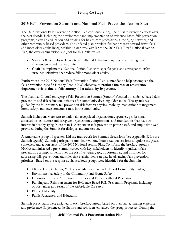# **2015 Falls Prevention Summit and National Falls Prevention Action Plan**

The 2015 National Falls Prevention Action Plan continues a long line of fall prevention efforts over the past decade, including the development and implementation of evidence-based falls prevention programs, as well as education and training for health care professionals, the aging network, and other community-based providers. The updated plan provides further progress toward fewer falls and more older adults living healthier, safer lives. Similar to the 2005 Falls Free® National Action Plan, the overarching vision and goal for this initiative are:

- **Vision**: Older adults will have fewer falls and fall-related injuries, maximizing their independence and quality of life.
- **Goal:** To implement a National Action Plan with specific goals and strategies to effect sustained initiatives that reduce falls among older adults.

Furthermore, the 2015 National Falls Prevention Action Plan is intended to help accomplish the falls prevention-specific Healthy People 2020 objective to **"reduce the rate of emergency department visits due to falls among older adults by 10 percent."** 19

The National Council on Aging's Falls Prevention Summit (Summit) focused on evidence-based falls prevention and risk reduction initiatives for community dwelling older adults. The agenda was guided by the four primary fall prevention risk factors: physical mobility, medications management, home safety, and environmental safety in the community.

Summit invitations were sent to nationally recognized organizations, agencies, professional associations, consumer and caregiver organizations, corporations and foundations that have an interest in healthy aging. More than 110 experts in falls prevention participated, and ample time was provided during the Summit for dialogue and interaction.

A remarkable group of speakers laid the framework for Summit discussions (see Appendix E for the Summit agenda). Summit participants attended two, one-hour breakout sessions to update the goals, strategies, and action steps of the 2005 National Action Plan. To inform the breakout groups, NCOA administered a pre-Summit survey with key stakeholders to identify significant falls prevention accomplishments over the past five years; gaps, opportunities, and priorities for addressing falls prevention; and roles that stakeholders can play in advancing falls prevention priorities. Based on the responses, six breakout groups were identified for the Summit:

- Clinical Care, including Medications Management and Clinical-Community Linkages
- Environmental Safety in the Community and Home Safety
- Expansion of Falls Prevention Initiatives and Evidence-Based Programs
- Funding and Reimbursement for Evidence-Based Falls Prevention Programs, including opportunities as a result of the Affordable Care Act
- Physical Mobility
- Public Awareness and Education

Summit participants were assigned to each breakout group based on their subject matter expertise and preference. Experienced facilitators and recorders enhanced the group processes. During the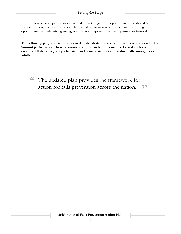first breakout session, participants identified important gaps and opportunities that should be addressed during the next five years. The second breakout session focused on prioritizing the opportunities, and identifying strategies and action steps to move the opportunities forward.

**The following pages present the revised goals, strategies and action steps recommended by Summit participants. These recommendations can be implemented by stakeholders to create a collaborative, comprehensive, and coordinated effort to reduce falls among older adults.**

<sup>66</sup> The updated plan provides the framework for action for falls prevention across the nation.  $\mathbf{Z}$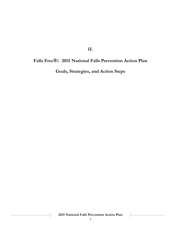**II.**

# **Falls Free®: 2015 National Falls Prevention Action Plan**

**Goals, Strategies, and Action Steps**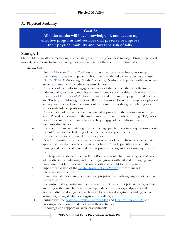# **A. Physical Mobility**

### **Goal A:**

**All older adults will have knowledge of, and access to, effective programs and services that preserve or improve their physical mobility and lower the risk of falls.**

### **Strategy 1**

Shift public educational messaging to a positive, healthy living/wellness message. Promote physical mobility as a means to support living independently rather than only preventing falls.

### *Action Steps*

- 1. Use the Medicare Annual Wellness Visit as a pathway to wellness; encourage practitioners to talk with patients about their health and wellness desires and use CDC's [STEADI](http://www.cdc.gov/steadi/) (Stopping Elderly Accidents, Deaths and Injuries) toolkit to screen, assess, and intervene to reduce patients' fall risk.
- 2. Empower older adults to engage in activities of their choice that are effective at reducing falls, increasing mobility and improving overall health, such as the National [Institutes of Health](https://go4life.nia.nih.gov/) *Go4Life* physical activity and exercise campaign for older adults and Tai Ji Quan: Moving for Better Balance. Promote low-cost examples of physical activity, such as gardening, walking outdoors and mall walking, and playing video games with balance platforms.
- 3. Engage older adults with a person-centered approach on the readiness-to-change scale. Provide education on the importance of physical mobility through TV, radio, newspaper, social media and classes to help engage older adults in their contemplative stages.
- 4. Consider exercise as a vital sign, and encourage practitioners to ask questions about patients' exercise levels during all routine medical appointments.
- 5. Engage role models to model how to age well.
- 6. Develop algorithms for recommendations to refer older adults to programs that are appropriate for their levels of physical mobility. Provide practitioners with the training and tools needed to make appropriate referrals, and not cause injuries and pain.
- 7. Reach specific audiences such as Baby Boomers, adult children/caregivers of older adults, diverse populations, and other target groups with tailored messaging, and emphasize that falls prevention is one additional benefit to moving more.
- 8. Support expansion of the [White House](http://www.letsmove.gov/)'s "Let's Move" effort to include intergenerational activities.
- 9. Ensure that all messaging is culturally-appropriate by involving target audiences in the translation.
- 10. Recognize that a growing number of grandparents are either primary caregivers or are living with grandchildren. Encourage safe activities for grandparents and grandchildren to do together, such as well-chosen video games (standing, active), swimming, using all-abilities playgrounds, walking, etc.
- 11. Partner with the [National Physical Activity Plan](http://www.physicalactivityplan.org/) and [Healthy People 2020](http://www.healthypeople.gov/) and encourage inclusion of older adults in their activities.
- 12. Encourage and support walkable environments.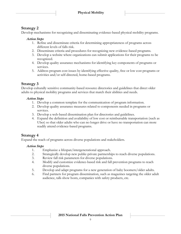# **Strategy 2**

Develop mechanisms for recognizing and disseminating evidence-based physical mobility programs.

### *Action Steps*

- 1. Refine and disseminate criteria for determining appropriateness of programs across different levels of falls risk.
- 2. Disseminate criteria and procedures for recognizing new evidence-based programs.
- 3. Develop a website where organizations can submit applications for their programs to be recognized.
- 4. Develop quality assurance mechanisms for identifying key components of programs or services.
- 5. Address program cost issues by identifying effective quality, free or low cost programs or activities and/or self-directed, home-based programs.

# **Strategy 3**

Develop culturally sensitive community-based resource directories and guidelines that direct older adults to physical mobility programs and services that match their abilities and needs.

### *Action Steps*

- 1. Develop a common template for the communication of program information.
- 2. Develop quality assurance measures related to components needed in programs or services.
- 3. Develop a web-based dissemination plan for directories and guidelines.
- 4. Expand the definition and availability of low cost or reimbursable transportation (such as Uber) so that older adults who can no longer drive or have no transportation can more readily attend evidence-based programs.

# **Strategy 4**

Expand the reach of programs across diverse populations and stakeholders.

### *Action Steps*

- 1. Emphasize a lifespan/intergenerational approach.
- 2. Strategically develop new public-private partnerships to reach diverse populations.
- 3. Review fall risk parameters for diverse populations.
- 4. Modify and customize evidence-based risk and fall prevention programs to reach diverse populations.
- 5. Develop and adapt programs for a new generation of baby boomers/older adults.
- 6. Find partners for program dissemination, such as magazines targeting the older adult audience, talk-show hosts, companies with safety products, etc.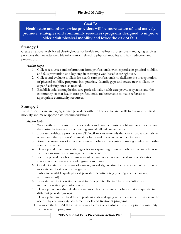### **Goal B:**

**Health care and other service providers will be more aware of, and actively promote, strategies and community resources/programs designed to improve older adult physical mobility and lower the risk of falls.**

### **Strategy 1**

Create a national web-based clearinghouse for health and wellness professionals and aging services providers that includes credible information related to physical mobility and falls reduction and prevention.

### *Action Steps*

- 1. Collect resources and information from professionals with expertise in physical mobility and falls prevention as a key step in creating a web-based clearinghouse.
- 2. Collect and evaluate toolkits for health care professionals to facilitate the incorporation of physical mobility programs into practice. Identify gaps and create new toolkits, or expand existing ones, as needed.
- 3. Establish links among health care professionals, health care provider systems and the community so that health care professionals are better able to make referrals to appropriate community resources.

# **Strategy 2**

Provide health care and aging service providers with the knowledge and skills to evaluate physical mobility and make appropriate recommendations.

### *Action Steps*

- 1. Work with health systems to collect data and conduct cost-benefit analyses to determine the cost-effectiveness of conducting annual fall risk assessments.
- 2. Educate healthcare providers on STEADI toolkit materials that can improve their ability to measure their patients' physical mobility and intervene to reduce fall risk.
- 3. Raise the awareness of effective physical mobility interventions among medical and other service providers.
- 4. Develop and disseminate strategies for incorporating physical mobility into multifactorial fall risk assessment and management interventions.
- 5. Identify providers who can implement or encourage cross-referral and collaboration across complementary provider group disciplines.
- 6. Conduct systematic analysis of existing knowledge relative to the assessment of physical mobility and best practice programs.
- 7. Publicize available quality-based provider incentives (e.g., coding, compensation, reimbursement).
- 8. Educate providers on simple ways to incorporate effective falls prevention and intervention strategies into practice.
- 9. Develop evidence-based educational modules for physical mobility that are specific to different provider groups.
- 10. Develop training for health care professionals and aging network service providers in the use of physical mobility assessment tools and treatment programs.
- 11. Promote the STEADI toolkit as a way to refer older adults into appropriate community fall prevention programs.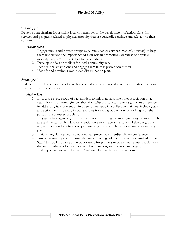# **Strategy 3**

Develop a mechanism for assisting local communities in the development of action plans for services and programs related to physical mobility that are culturally sensitive and relevant to their community.

### *Action Steps*

- 1. Engage public and private groups (e.g., retail, senior services, medical, housing) to help them understand the importance of their role in promoting awareness of physical mobility programs and services for older adults.
- 2. Develop models or toolkits for local community use.
- 3. Identify local champions and engage them in falls prevention efforts.
- 4. Identify and develop a web-based dissemination plan.

### **Strategy 4**

Build a more inclusive database of stakeholders and keep them updated with information they can share with their constituents.

#### *Action Steps*

- 1. Encourage every group of stakeholders to link to at least one other association on a yearly basis in a meaningful collaboration. Discuss how to make a significant difference in addressing falls prevention in three to five years in a collective initiative; include goals and action items. Identify important roles for each group to play by looking at all the parts of the complex problem.
- 2. Engage federal agencies, for-profit, and non-profit organizations, and organizations such as the American Public Health Association that cut across various stakeholder groups; target joint annual conferences, joint messaging and combined social media as starting points.
- 3. Initiate a regularly scheduled national fall prevention interdisciplinary conference.
- 4. Pursue partnerships with those who are addressing risk factors that are identified in the STEADI toolkit. Frame as an opportunity for partners to open new venues, reach more diverse populations for best practice dissemination, and promote messaging.
- 5. Build upon and expand the Falls Free® member database and coalitions.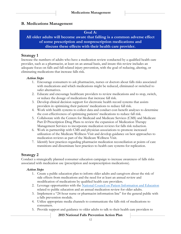### **B. Medications Management**

#### **Goal A:**

**All older adults will become aware that falling is a common adverse effect of some prescription and nonprescription medications and discuss these effects with their health care provider.**

### **Strategy 1**

Increase the numbers of adults who have a medication review conducted by a qualified health care provider, such as a pharmacist, at least on an annual basis, and insure this review includes an adequate focus on falls and fall-related injury prevention, with the goal of reducing, altering, or eliminating medications that increase falls risk.

### *Action Steps*

- 1. Encourage consumers to ask pharmacists, nurses or doctors about falls risks associated with medications and which medications might be reduced, eliminated or switched to safer alternatives.
- 2. Educate and encourage healthcare providers to review medications and to stop, switch, or reduce the dosage of medications that increase fall risk.
- 3. Develop clinical decision support for electronic health record systems that assists providers in optimizing their patients' medications to reduce fall risk.
- 4. Work with health systems to collect data and conduct cost-benefit analyses to determine the cost-effectiveness of optimizing patients' medications to reduce fall risk.
- 5. Collaborate with the Centers for Medicaid and Medicare Services (CMS) and Medicare Part D Prescription Drug Plans to review the expansion of Medication Therapy Management Services to incorporate medication reviews for falls risk reduction.
- 6. Work in partnership with CMS and physician associations to promote increased utilization of the Medicare Wellness Visit and develop guidance on best approaches to medication reviews as part of the Medicare Wellness Visit.
- 7. Identify best practices regarding pharmacist medication reconciliation at points of care transitions and disseminate best practices to health care systems for replication.

# **Strategy 2**

Conduct a strategically planned consumer education campaign to increase awareness of falls risks associated with medication use (prescription and nonprescription medications).

### *Action Steps*

- 1. Create a public education plan to inform older adults and caregivers about the risk of side effects from medications and the need for at least an annual review and modification of medications by qualified health care providers.
- 2. Leverage opportunities with the [National Council on Patient Information and Education](http://www.talkaboutrx.org/) related to public education and an annual medication review for older adults.
- 3. Implement a "24-hour nurse or pharmacist information line" for the general public with a falls prevention module.
- 4. Utilize appropriate media channels to communicate the falls risk of medications to consumers.
- 5. Provide support and guidance to older adults to talk to their health care providers to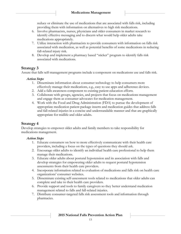reduce or eliminate the use of medications that are associated with falls risk, including providing them with information on alternatives to high risk medications.

- 6. Involve pharmacists, nurses, physicians and older consumers in market research to identify effective messaging and to discern what would help older adults take medications appropriately.
- 7. Utilize interaction with pharmacists to provide consumers with information on falls risk associated with medication, as well as potential benefits of some medications in reducing fall-related injury risk.
- 8. Develop and implement a pharmacy based "sticker" program to identify falls risk associated with medications.

# **Strategy 3**

Assure that falls self-management programs include a component on medications use and falls risk.

#### *Action Steps*

- 1. Disseminate information about consumer technology to help consumers more effectively manage their medications, e.g., easy to use apps and adherence devices.
- 2. Add a falls awareness component to existing patient education efforts.
- 3. Collaborate with groups, agencies, and projects that focus on medications management and engage them as consumer advocates for medication management.
- 4. Work with the Food and Drug Administration (FDA) to pursue the development of appropriate medication patient package inserts and medication guides that address falls and fall-related injuries in a concise and understandable manner and that are graphically appropriate for midlife and older adults.

# **Strategy 4**

Develop strategies to empower older adults and family members to take responsibility for medications management.

### *Action Steps*

- 1. Educate consumers on how to more effectively communicate with their health care providers, including a focus on the types of questions they should ask.
- 2. Encourage older adults to identify an individual health care professional to help them manage their medications.
- 3. Educate older adults about postural hypotension and its association with falls and develop strategies for empowering older adults to request postural hypotension assessments from their health care providers.
- 4. Incorporate information related to evaluation of medications and falls risk on health care organizations' consumer websites.
- 5. Disseminate existing self-assessment tools related to medications that older adults can complete and take to their health care providers.
- 6. Provide support and tools to family caregivers so they better understand medication management related to falls and fall-related injuries.
- 7. Distribute consumer-targeted falls risk assessment tools and information through pharmacies.

**2015 National Falls Prevention Action Plan**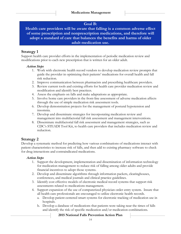# **Goal B:**

**Health care providers will be aware that falling is a common adverse effect of some prescription and nonprescription medications, and therefore will adopt a standard of care that balances the benefits and harms of older adult medication use.**

# **Strategy 1**

Support health care provider efforts in the implementation of periodic medication review and modifications prior to each new prescription that is written for an older adult.

#### *Action Steps*

- 1. Work with electronic health record vendors to develop medication review prompts that guide the provider in optimizing their patients' medications for overall health and fall risk reduction.
- 2. Improve communication between pharmacists and prescribing healthcare providers.
- 3. Review current tools and existing efforts for health care provider medication review and modification and identify best practices.
- 4. Assess the emphasis on falls and make adaptations as appropriate.
- 5. Involve home care providers in the front-line assessment of adverse medication affects through the use of simple medication risk assessment tools.
- 6. Develop demonstration projects for the management of postural hypotension and insomnia.
- 7. Develop and disseminate strategies for incorporating medication review and management into multifactorial fall risk assessment and management interventions.
- 8. Disseminate multifactorial fall risk assessment and management strategies, such as CDC's STEADI Tool Kit, to health care providers that includes medication review and reduction.

# **Strategy 2**

Develop a systematic method for predicting how various combinations of medications interact with patient characteristics to increase risk of falls, and then add to existing pharmacy software to check for drug interactions and contraindicated medications.

### *Action Steps*

- 1. Support the development, implementation and dissemination of information technology for medication management to reduce risk of falling among older adults and provide financial incentives to adopt those systems.
- 2. Develop and disseminate algorithms through information packets, clearinghouses, conferences, and medical journals and clinical practice guidelines.
- 3. Identify cost effective models of electronic medical record systems that support risk assessments related to medications management.
- 4. Support expansion of the use of computerized physician order entry system. Insure that all health care professionals are encouraged to utilize electronic health records.
	- a. Develop patient centered smart systems for electronic tracking of medication use in hospitals.
	- b. Develop a database of medications that patients were taking near the times of falls and identify the risk of specific medication and/or medication combinations.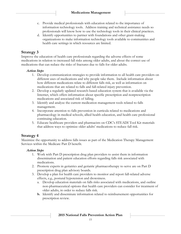- c. Provide medical professionals with education related to the importance of information technology tools. Address training and technical assistance needs so professionals will know how to use the technology tools in their clinical practices.
- d. Identify opportunities to partner with foundations and other grant-making organizations to make information technology tools available to communities and health care settings in which resources are limited.

# **Strategy 3**

Improve the education of health care professionals regarding the adverse effects of some medications in relation to increased fall risks among older adults, and about the correct use of medications that can reduce the risks of fractures due to falls for older adults.

### *Action Steps*

- 1. Develop communication strategies to provide information to all health care providers on different uses of medications and why people take them. Include information about how different medications relate to different falls risk, as well as information on medications that are related to falls and fall-related injury prevention.
- 2. Develop a regularly updated research-based education system that is available via the Internet, which offers information about specific prescription and nonprescription medications and associated risk of falling.
- 3. Identify and analyze the current medication management tools related to falls management.
- 4. Incorporate attention to falls prevention in curricula related to medications and pharmacology in medical schools, allied health education, and health care professional continuing education.
- 5. Educate healthcare providers and pharmacists on CDC's STEADI Tool Kit materials that address ways to optimize older adults' medications to reduce fall risk.

# **Strategy 4**

Maximize the opportunity to address falls issues as part of the Medication Therapy Management Services within the Medicare Part D benefit.

### *Action Steps*

- 1. Work with Part D prescription drug plan providers to assist them in information dissemination and patient education efforts regarding falls risk associated with medications.
- 2. Promote experts in geriatrics and geriatric pharmacotherapy to serve are on Part D prescription drug plan advisory boards.
- 3. Develop a plan for health care providers to monitor and report fall-related adverse effects, e.g., postural hypotension and drowsiness.
	- a. Develop education materials on falls risks associated with medications, and outline non-pharmaceutical options that health care providers can consider for treatment of older adults, in order to reduce falls risk.
	- **b.** Identify and disseminate information related to reimbursement opportunities for prescription review.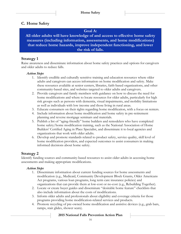# **C. Home Safety**

### **Goal A:**

**All older adults will have knowledge of and access to effective home safety measures (including information, assessments, and home modifications) that reduce home hazards, improve independent functioning, and lower the risk of falls.**

### **Strategy 1**

Raise awareness and disseminate information about home safety practices and options for caregivers and older adults to reduce falls.

#### *Action Steps*

- 1. Identify credible and culturally sensitive training and education resources where older adults and caregivers can access information on home modification and safety. Make these resources available at senior centers, libraries, faith-based organizations, and other community-based sites, and websites targeted to older adults and caregivers.
- 2. Provide caregivers and family members with guidance on how to discuss the need for home modifications and where to locate resources for older adults, particularly for high risk groups such as persons with dementia, visual impairments, and mobility limitations as well as individuals with low income and those living in rural areas.
- 3. Educate consumers on their rights regarding home modification, with a focus on renters.
- 4. Include information about home modification and home safety in pre-retirement planning and reverse mortgage seminars and materials.
- 5. Publish a list of "aging-friendly" home builders and remodelers who have completed home safety/home modification training, such as the National Association of Home Builders' Certified Aging in Place Specialist, and disseminate it to local agencies and organizations that work with older adults.
- 6. Develop and promote standards related to product safety, service quality, skill level of home modification providers, and expected outcomes to assist consumers in making informed decisions about home safety.

# **Strategy 2**

Identify funding sources and community-based resources to assist older adults in accessing home assessments and making appropriate modifications.

### *Action Steps*

- 1. Disseminate information about current funding sources for home assessments and modification (e.g., Medicaid, Community Development Block Grants, Older Americans Act programs, various loan programs, long term care insurance policies) and organizations that can provide them at low-cost or no-cost (e.g., Rebuilding Together).
- 2. Locate or create buyer guides and disseminate "desirable home feature" checklists that also include information about the costs of modifications.
- 3. Inform older adults and professionals about eligibility and coverage criteria for those programs providing home modification-related services and products.
- 4. Promote recycling of pre-owned home modification and assistive devices (e.g., grab bars, ramps, stair glides, shower seats).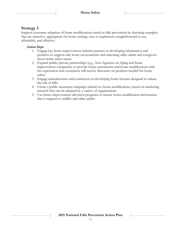# **Strategy 3**

Support consumer adoption of home modifications aimed at falls prevention by featuring examples that are attractive, appropriate for home settings, easy to implement, straightforward to use, affordable, and effective.

### *Action Steps*

- 1. Engage key home improvement industry partners in developing information and products to support safe home environments and educating older adults and caregivers about home safety issues.
- 2. Expand public/private partnerships (e.g., Area Agencies on Aging and home improvement companies) to provide home assessments and home modifications with the expectation that consumers will receive discounts on products needed for home safety.
- 3. Engage manufacturers and contractors in developing home features designed to reduce the risk of falls.
- 4. Create a public awareness campaign related too home modifications, based on marketing research that can be adopted by a variety of organizations.
- 5. Use home improvement television programs to feature home modification information that is targeted to midlife and older adults.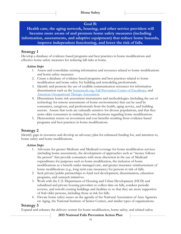# **Goal B:**

**Health care, the aging network, housing, and other service providers will become more aware of and promote home safety measures (including information, assessments, and adaptive equipment) that reduce home hazards, improve independent functioning, and lower the risk of falls.**

# **Strategy 1**

Develop a database of evidence-based programs and best practices in home modifications and effective home safety measures for reducing fall risks at home.

### *Action Steps*

- 1. Assess and consolidate existing information and resources related to home modifications and home safety measures.
- 2. Create a database of evidence-based programs and best practices related to home modification and home safety for building and remodeling professionals.
- 3. Identify and promote the use of credible communication resources for information dissemination such as the **homemods.org**, [Fall Prevention Center of Excellence,](http://stopfalls.org/) and [American Occupational Therapy Association.](http://www.aota.org/)
- 4. Disseminate home risk assessment instruments and methodologies (including the use of technology for remote assessments of home environments) that can be used by consumers, caregivers, and professionals from the health, aging service, and building sectors. Assure that tools are culturally sensitive for diverse populations, and that they assist older consumers in making their own decisions regarding home modifications.
- 5. Demonstrate return on investment and cost benefits resulting from evidence-based programs and best practices in home modifications.

# **Strategy 2**

Identify gaps in resources and develop an advocacy plan for enhanced funding for, and attention to, home safety and home modifications.

### *Action Steps*

- 1. Advocate for greater Medicare and Medicaid coverage for home modification services (including home assessment), the development of approaches such as "money follows the person" that provide consumers with more discretion in the use of Medicaid expenditures for purposes such as home modification, the inclusion of home modifications as a benefit under managed care, and greater insurance reimbursement of home modifications (e.g., long term care insurance) for persons at risk of falls.
- 2. Seek private/public partnerships to fund tool development, dissemination, education programs, and outreach initiatives.
- 3. Work with the U.S. Department of Housing and Urban Development (HUD) and subsidized and private housing providers to collect data on falls, conduct periodic reviews, and retrofit existing buildings and facilities to so that they are more supportive of frail older persons, including those at risk for falls.
- 4. Elevate home safety issues on the agenda of the National Association of Area Agencies on Aging, the National Institute of Senior Centers, and similar types of organizations.

# **Strategy 3**

Expand and enhance the delivery system for home modification, home safety, and related safety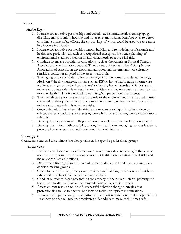services.

#### *Action Steps*

- 1. Increase collaborative partnerships and coordinated communication among aging, disability, transportation, housing and other relevant organizations/agencies to better coordinate home safety efforts, the cost savings of which could be used to serve more low income individuals.
- 2. Increase collaborative partnerships among building and remodeling professionals and health care professionals, such as occupational therapists, for better planning of environmental changes based on an individual needs to reduce fall risk.
- 3. Continue to engage provider organizations, such as the American Physical Therapy Association, American Occupational Therapy Association, and the Visiting Nurses Association of America in development, adoption and dissemination of culturally sensitive, consumer targeted home assessment tools.
- 4. Train aging service providers who routinely go into the homes of older adults (e.g., Meals-on-Wheels volunteers, groups such as RSVP, home health nurses, home care workers, emergency medical technicians) to identify home hazards and fall risks and make appropriate referrals to health care providers, such as occupational therapists, for more in-depth and individualized home safety/fall prevention assessments.
- 5. Train health care providers to assess the role of the environment in fall-related injuries sustained by their patients and provide tools and training so health care providers can make appropriate referrals to reduce risks.
- 6. Once older adults have been identified as at moderate to high risk of falls, develop effective referral pathways for assessing home hazards and making home modifications referrals.
- 7. Develop local coalitions on falls prevention that include home modification experts.
- 8. Develop champions with credibility among key health care and aging services leaders to promote home assessment and home modification initiatives.

# **Strategy 4**

Create, translate, and disseminate knowledge tailored for specific professional groups.

### *Action Steps*

- 1. Evaluate and disseminate valid assessment tools, templates and strategies that can be used by professionals from various sectors to identify home environmental risks and make appropriate adaptations.
- 2. Disseminate findings about the role of home modification in falls prevention to key decision making groups.
- 3. Create tools to educate primary care providers and building professionals about home safety and modifications that can help reduce falls.
- 4. Conduct outcomes-based research on the efficacy of the current referral pathway for home modification and make recommendations on how to improve it.
- 5. Assess current research to identify successful behavior change strategies that professionals can use to encourage clients to make appropriate modifications.
- 6. Advocate with public and private partners to support research on the development of a "readiness to change" tool that motivates older adults to make their homes safer.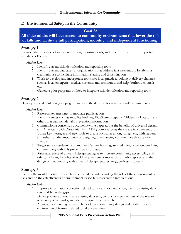### **D. Environmental Safety in the Community**

### **Goal A:**

### **All older adults will have access to community environments that lower the risk of falls and facilitate full participation, mobility, and independent functioning.**

### **Strategy 1**

Promote the wider use of risk identification, reporting tools, and other mechanisms for reporting and data collection.

### *Action Steps*

- 1. Identify current risk identification and reporting tools.
- 2. Identify current databases of organizations that address falls prevention. Establish a clearinghouse to facilitate information sharing and dissemination.
- 3. Work to develop and incorporate tools into local practice, looking at delivery channels such as local emergency medical systems, and community and neighborhood councils, etc.
- 4. Generate pilot programs on how to integrate risk identification and reporting tools.

### **Strategy 2**

Develop a social marketing campaign to increase the demand for senior-friendly communities.

#### *Action Steps*

- 1. Research key messages to motivate public action.
- 2. Identify venues such as mobility hotlines, RideShare programs, "Eldercare Locator" and others that can include falls prevention information.
- 3. Commission a consensus document/white paper about the benefits of universal design and Americans with Disabilities Act (ADA) compliance as they relate falls prevention.
- 4. Utilize key messages and new tools to create advocates among caregivers, faith leaders, and others on the importance of designing or enhancing communities that are elderfriendly.
- 5. Target senior residential communities (senior housing, assisted living, independent living communities) with falls prevention information.
- 6. Raise awareness of universal design strategies to increase community accessibility and safety, including benefits of ADA requirement compliance for public spaces, and the design of new housing with universal design features (e.g., curbless showers).

# **Strategy 3**

Identify the most important research gaps related to understanding the role of the environment on falls and on the effectiveness of environment-based falls prevention interventions.

### *Action Steps*

- 1. Improve information collection related to risk and risk reduction, identify existing data sets, and fill in the gaps.
- 2. Develop white papers, assess existing data sets, conduct a meta-analysis of the research to identify what works, and identify gaps in the research.
- 3. Advocate for funding of research to address community design and to identify safe environmental features related to falls prevention.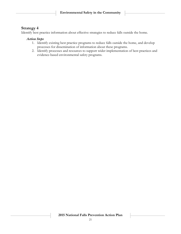# **Strategy 4**

Identify best practice information about effective strategies to reduce falls outside the home.

### *Action Steps*

- 1. Identify existing best practice programs to reduce falls outside the home, and develop processes for dissemination of information about these programs.
- 2. Identify processes and resources to support wider implementation of best practices and evidence-based environmental safety programs.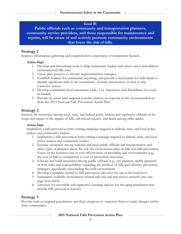### **Goal B:**

**Public officials such as community and transportation planners, community service providers, and those responsible for maintenance and repairs, will be aware of and actively promote community environments that lower the risk of falls.**

# **Strategy 1**

Improve information gathering and comprehensive assessment of community hazards.

### *Action Steps*

- 1. Develop and disseminate tools to help community leaders and others assess and address environmental falls risks.
- 2. Create pilot projects to identify implementation strategies.
- 3. Establish hotlines for community reporting, and provide a mechanism for individuals to identify significant risks in the community. Include information on how to take corrective action.
- 4. Develop community-level assessment tools. Use Americans with Disabilities Act tools as models.
- 5. Provide an action plan targeted at policy makers, in response to the recommendations from the 2015 National Falls Prevention Action Plan.

# **Strategy 2**

Increase the awareness among local, state, and federal policy makers and regulatory officials of the scope and nature of the impact of falls, fall-related injuries, and death among older adults.

### *Action Steps*

Implement a falls-prevention letter writing campaign targeted to federal, state, and local policy makers and community leaders.

- 1. Implement a falls prevention letter writing campaign targeted to federal, state, and local policy makers and community leaders.
- 2. Increase awareness among national and local public officials and transportation and other types of planners about the role the environment plays in falls and falls prevention. Focus on the business case or cost effectiveness of providing safe environments (e.g., the cost of falls in comparison to cost of prevention measures).
- 3. Educate and build awareness among public officials (e.g., city planners, traffic planners) of their roles and responsibilities regarding the problem of falls and effective prevention strategies, specifically surrounding the built environment.
- 4. Develop a template related to falls prevention advocacy for use at the local level.
- 5. Summarize available environment-related falls risk and prevention research into onepage issue briefs.
- 6. Advocate for accessible and supportive housing options for the aging population that include falls prevention features.

# **Strategy 3**

Provide tools to targeted populations and their caregivers to empower them to make changes within their communities.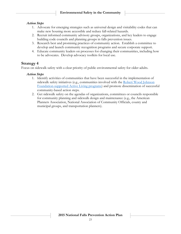#### *Action Steps*

- 1. Advocate for emerging strategies such as universal design and visitability codes that can make new housing more accessible and reduce fall-related hazards.
- 2. Recruit informed community advisory groups, organizations, and key leaders to engage building code councils and planning groups in falls prevention issues.
- 3. Research best and promising practices of community action. Establish a committee to develop and launch community recognition programs and secure corporate support.
- 4. Educate community leaders on processes for changing their communities, including how to be advocates. Develop advocacy toolkits for local use.

### **Strategy 4**

Focus on sidewalk safety with a clear priority of public environmental safety for older adults.

#### *Action Steps*

- 1. Identify activities of communities that have been successful in the implementation of sidewalk safety initiatives (e.g., communities involved with the Robert Wood Johnson [Foundation-supported Active Living programs\)](http://www.rwjf.org/en/library/research/2011/07/active-living-research.html) and promote dissemination of successful community-based action steps.
- 2. Get sidewalk safety on the agendas of organizations, committees or councils responsible for community planning and sidewalk design and maintenance (e.g., the American Planners Association, National Association of Community Officials, county and municipal groups, and transportation planners).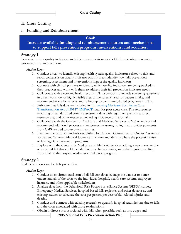# **E. Cross Cutting**

### **i. Funding and Reimbursement**

#### **Goal:**

**Increase available funding and reimbursement sources and mechanisms to support falls prevention programs, interventions, and activities.**

### **Strategy 1**

Leverage various quality indicators and other measures in support of falls prevention screening, assessment and interventions.

#### *Action Steps*

- 1. Conduct a scan to identify existing health system quality indicators related to falls and reach consensus on quality indicator priority areas; identify how falls prevention screening, assessment and interventions impact the quality indicators.
- 2. Connect with clinical partners to identify which quality indicators are being tracked in their practices and work with them to address their fall prevention indicator needs.
- 3. Collaborate with electronic health records (EHR) vendors to include screening questions in direct workflow or highly visible area of the screens used for patient intake, and recommendations for referral and follow-up to community-based programs in EHR.
- 4. Publicize that falls data are included in "Improving Medicare Post-Acute Care [Transformation Act of 2014" \(IMPACT\)](http://www.cms.gov/Medicare/Quality-Initiatives-Patient-Assessment-Instruments/Post-Acute-Care-Quality-Initiatives/IMPACT-Act-of-2014-and-Cross-Setting-Measures.html) data for post-acute care. The Act requires reporting of standardized patient assessment data with regard to quality measures, resource use, and other measures, including incidence of major falls.
- 5. Collaborate with the Centers for Medicare and Medicaid Services (CMS) to review and recommend additional process and outcomes measures, noting that provider payments from CMS are tied to outcomes measures.
- 6. Examine the various standards established by National Committee for Quality Assurance for Patient Centered Medical Home certification and identify where the potential exists to leverage falls prevention programs.
- 7. Explore with the Centers for Medicare and Medicaid Services adding a new measure due to a second fall that could include fractures, brain injuries, and other injuries resulting from a fall to the hospital readmission reduction program.

# **Strategy 2**

Build a business case for falls prevention.

### *Action Steps*

- 1. Conduct an environmental scan of all fall cost data; leverage the data set to better understand all of the costs to the individual, hospital, health care system, employers, insurers, and other applicable stakeholders.
- 2. Analyze data from the Behavioral Risk Factor Surveillance System (BRFSS) survey, Emergency Medical Services, hospital-based falls registries and other databases, and existing studies to calculate the cost per person per year of fall-related injuries and deaths.
- 3. Conduct and connect with existing research to quantify hospital readmissions due to falls and the costs associated with those readmissions.
- 4. Obtain indirect costs associated with falls when possible, such as lost wages and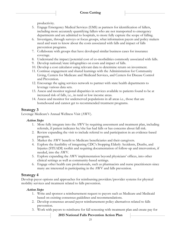productivity.

- 5. Engage Emergency Medical Services (EMS) as partners for identification of fallers, including more accurately quantifying fallers who are not transported to emergency departments and are admitted to hospitals, to more fully capture the scope of falling.
- 6. Investigate, through surveys or focus groups, what information payers and policy makers need and want to know about the costs associated with falls and impact of falls prevention programs.
- 7. Collaborate with groups that have developed similar business cases for insurance coverage.
- 8. Understand the impact/potential cost of co-morbidities commonly associated with falls.
- 9. Develop national/state infographics on costs and impact of falls.
- 10. Develop a cost calculator using relevant data to determine return on investment.
- 11. Continue engagement and shared learnings with the Administration for Community Living, Centers for Medicare and Medicaid Services, and Centers for Disease Control and Prevention.
- 12. Encourage the aging services network to partner with state health departments to leverage various data sets.
- 13. Assess and monitor regional disparities in services available to patients found to be at increased risk of falls, i.e., in rural or low income areas.
- 14. Assess and monitor for underserved populations in all areas i.e., those that are homebound and cannot get to recommended treatment programs.

# **Strategy 3**

Leverage Medicare's Annual Wellness Visit (AWV).

### *Action Steps*

- 1. More fully integrate into the AWV by requiring assessment and treatment plan, including referrals, if patient indicates he/she has had falls or has concerns about fall risk.
- 2. Review expanding the visit to include referral to and participation in an evidence-based program.
- 3. Market the AWV benefit to Medicare beneficiaries and their caregivers.
- 4. Explore the feasibility of integrating CDC's Stopping Elderly Accidents, Deaths, and Injuries (STEADI) toolkit and requiring documentation of follow-up and intervention, if needed, into the AWV.
- 5. Explore expanding the AWV implementation beyond physicians' offices, into other clinical settings as well as community-based settings.
- 6. Engage other health care professionals, such as pharmacists and nurse practitioners since many are interested in participating in the AWV and falls prevention.

# **Strategy 4**

Develop payor options and approaches for reimbursing providers/provider systems for physical mobility services and treatment related to falls prevention.

### *Action Steps*

- 1. Write and sponsor a reimbursement request to payors such as Medicare and Medicaid based on existing consensus guidelines and recommendations.
- 2. Develop consensus around payor reimbursement policy alternatives related to falls prevention.
- 3. Work with payors to reimburse for fall screening with treatment plan and create pay for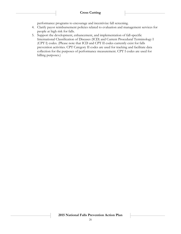performance programs to encourage and incentivize fall screening.

- 4. Clarify payor reimbursement policies related to evaluation and management services for people at high risk for falls.
- 5. Support the development, enhancement, and implementation of fall-specific International Classification of Diseases (ICD) and Current Procedural Terminology I (CPT I) codes. (Please note that ICD and CPT II codes currently exist for falls prevention activities. CPT Category II codes are used for tracking and facilitate data collection for the purposes of performance measurement. CPT I codes are used for billing purposes.)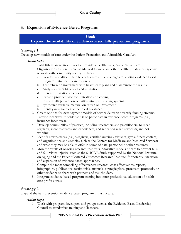### **ii. Expansion of Evidence-Based Programs**

### **Goal:**

### **Expand the availability of evidence-based falls prevention programs.**

### **Strategy 1**

Develop new models of care under the Patient Protection and Affordable Care Act.

### *Action Steps*

- 1. Establish financial incentives for providers, health plans, Accountable Care Organizations, Patient Centered Medical Homes, and other health care delivery systems to work with community agency partners.
	- a. Develop and disseminate business cases and encourage embedding evidence-based programs into health care routines.
	- b. Test return on investment with health care plans and disseminate the results.
	- c. Analyze current bill codes and utilization.
	- d. Increase utilization of codes.
	- e. Expand provider base for utilization and coding.
	- f. Embed falls prevention activities into quality rating systems.
	- g. Synthesize available material on return on investment;
	- h. Identify new sources of technical assistance.
- 2. Create options for new payment models of service delivery; diversify funding streams.
- 3. Provide incentives for older adults to participate in evidence-based programs (e.g., insurance incentives).
- 4. Develop communities of practice, including researchers and practitioners, to meet regularly, share resources and experiences, and reflect on what is working and not working.
- 5. Identify new partners (e.g., caregivers, certified nursing assistants, gyms/fitness centers, and organizations and agencies such as the Centers for Medicare and Medicaid Services) and what they may be able to offer in terms of data, personnel or other resources.
- 6. Monitor results of ongoing research that tests innovative models of care to prevent falls and fall-related injuries, such as the STRIDE Study supported by the National Institute on Aging and the Patient Centered Outcomes Research Institute, for potential inclusion and expansion of evidence-based approaches.
- 7. Compile the most compelling effectiveness research, cost-effectiveness reports, infographics, publications, testimonials, manuals, strategic plans, processes/protocols, or other evidence to share with partners and stakeholders.
- 8. Integrate evidence-based program training into inter-professional education of health care professionals.

# **Strategy 2**

Expand the falls prevention evidence-based program infrastructure.

### *Action Steps*

1. Work with program developers and groups such as the Evidence-Based Leadership Council to standardize training and licensure.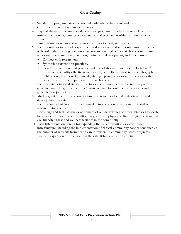- 2. Standardize program data collection; identify salient data point and tools.
- 3. Create a coordinated system for referrals.
- 4. Expand the falls prevention evidence-based program provider base to include more instructors/trainers, training opportunities, and program availability in underserved areas.
- 5. Link resources on national association websites to local/state agencies.
- 6. Identify sources to provide expert technical assistance and synthesize current processes to broaden the base, e.g., practitioners, researchers, and other stakeholders to discuss issues such as recruitment, retention, partnership development, and other issues.
	- Connect with researchers.
	- Synthesize current best practices.
	- Develop a community of practice under a collaborative, such as the Falls Free® Initiative, to identify effectiveness research, cost-effectiveness reports, infographics, publications, testimonials, manuals, strategic plans, processes/protocols, or other evidence to share with partners and stakeholders.
- 7. Identify data points and standardized tools as common measures across programs to generate compelling evidence for a "business case" to continue the programs and generate new partners.
- 8. Modify grant structures to allow for time and resources to build infrastructure and develop sustainability.
- 9. Identify sources of support for additional demonstration projects and to translate research into practice.
- 10. Encourage and facilitate the development of online websites or other databases to locate local evidence-based falls prevention programs and physical activity programs, as well as age-friendly fitness and wellness facilities in the community.
- 11. Establish evaluation criteria for expanding the falls prevention evidence-based infrastructure, including the implementation of clinical-community connections such as the number of referrals from health care providers to community-based programs.
- 12. Evaluate expansion efforts based on the established evaluation criteria.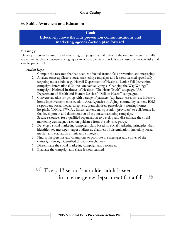### **iii. Public Awareness and Education**

#### **Goal:**

**Effectively move the falls prevention communications and marketing agenda/action plan forward.**

### **Strategy**

Develop a research-based social marketing campaign that will reframe the outdated view that falls are an inevitable consequence of aging to an actionable view that falls are caused by known risks and can be prevented.

#### *Action Steps*

- 1. Compile the research that has been conducted around falls prevention and messaging.
- 2. Analyze other applicable social marketing campaigns and lessons learned specifically targeting older adults (e.g., Hawaii Department of Health's "Senior Fall Prevention" campaign; International Council on Active Aging's "Changing the Way We Age" campaign; National Institutes of Health's "The Heart Truth" campaign; U.S. Department of Health and Human Services' "Million Hearts" campaign).
- 3. Convene an advisory group with a range of partners (e.g. health care, private industry, home improvement, construction, Area Agencies on Aging, community centers, EMS responders, social media, caregivers, grandchildren, genealogists, nursing homes, hospitals, YMCA/YWCAs, fitness centers, transportation providers) to collaborate in the development and dissemination of the social marketing campaign.
- 4. Secure resources for a qualified organization to develop and disseminate the social marketing campaign, based on guidance from the advisory group.
- 5. Develop a social marketing campaign plan, based on social marketing principles, that identifies key messages, target audiences, channels of dissemination (including social media), and evaluation criteria and strategies.
- 6. Find spokespersons and champions to promote the messages and stories of the campaign through identified distribution channels.
- 7. Disseminate the social marketing campaign and resources.
- 8. Evaluate the campaign and share lessons learned.

#### $\epsilon$ Every 13 seconds an older adult is seen in an emergency department for a fall. 22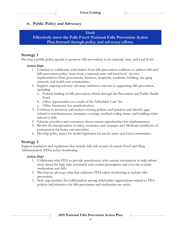### **iv. Public Policy and Advocacy**

#### **Goal:**

**Effectively move the Falls Free® National Falls Prevention Action Plan forward through policy and advocacy efforts.**

### **Strategy 1**

Develop a public policy agenda to promote falls prevention at the national, state, and local levels.

#### *Action Steps*

- 1. Continue to collaborate with leaders from falls prevention coalitions to address falls and falls prevention policy issues from a national, state and local level. Involve representatives from government, business, nonprofit, academic, building, the aging network, and health care communities.
- 2. Support ongoing and new advocacy initiatives relevant to supporting falls prevention, including:
	- a. Federal funding of falls prevention efforts through the Prevention and Public Health Fund
	- b. Other opportunities as a result of the Affordable Care Act
	- c. Older Americans Act reauthorization.
- 3. Continue to inventory and analyze existing policies and practices and identify gaps related to reimbursement, insurance coverage, medical coding issues, and building codes related to falls.
- 4. Educate providers and consumers about current opportunities for reimbursement.
- 5. Review the incorporation of safety awareness and strategies into Medicare conditions of participation for home care providers.
- 6. Develop policy issues for model legislation for use by states and local communities.

### **Strategy 2**

Support legislation and regulations that include falls risk as part of current Food and Drug Administration (FDA) safety monitoring.

### *Action Steps*

- 1. Collaborate with FDA to provide practitioners with current information to help inform them about the high risks associated with certain prescription and over-the-counter medications and falls.
- 2. Develop an advocacy plan that addresses FDA safety monitoring to include falls prevention.
- 3. Seek opportunities for collaboration among stakeholder organizations related to FDA policies and initiatives for falls prevention and medication use safety.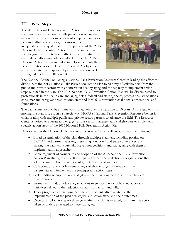# **III. Next Steps**

The 2015 National Falls Prevention Action Plan provides the framework for action for falls prevention across the nation. This plan envisions older adults experiencing fewer falls and fall-related injuries, maximizing their independence and quality of life. The purpose of the 2015 National Falls Prevention Action Plan is to implement specific goals and strategies to affect sustained initiatives that reduce falls among older adults. Further, the 2015 National Action Plan is intended to help accomplish the falls prevention-specific Healthy People 2020 objective to reduce the rate of emergency department visits due to falls among older adults by 10 percent.



The National Council on Aging's National Falls Prevention Resource Center is leading the effort to disseminate the 2015 National Falls Prevention Action Plan to an array of stakeholders from the public and private sectors with an interest in healthy aging and the capacity to implement action steps outlined in the plan. The 2015 National Falls Prevention Action Plan will be disseminated to professionals in the health care and aging fields, federal and state agencies, professional associations, consumer and caregiver organizations, state and local falls prevention coalitions, corporations, and foundations.

The plan is intended to be a framework for action over the next five to 10 years. As the lead entity in moving the plan forward in a strategic way, NCOA's National Falls Prevention Resource Center is collaborating with multiple public and private sector partners to advance the field. The Resource Center is poised to educate and engage various sectors, partners, and stakeholders to implement specific action steps of the 2015 National Falls Prevention Action Plan.

Next steps that the National Falls Prevention Resource Center will engage in are the following:

- Broad dissemination of the plan through multiple channels, including posting on NCOA's and partner websites, presenting at national and state conferences, and sharing the plan with state falls prevention coalitions and strategizing with them on implementation approaches.
- Encouragement of ownership and adoption of the 2015 National Falls Prevention Action Plan strategies and action steps by key national stakeholder organizations that address issues related to older adults, their health and wellness.
- Collaboration and involvement of key stakeholder organizations to further disseminate and implement the strategies and action steps.
- Seek funding to support key strategies, alone or in conjunction with stakeholders organizations.
- Partner with, and/or advise organizations to support public policy and advocacy initiatives related to the reduction of falls risk factors and falls.
- Track progress by identifying national and state initiatives related to the implementation of the plan's strategies and action steps and their outcomes.
- Develop a follow-up report three years after this plan is released, to summarize action taken or underway related to these strategies.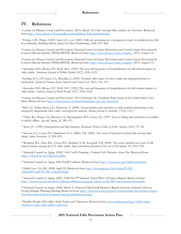# **IV. References**

<sup>1</sup>Centers for Disease Control and Prevention. (2015, March 19). Falls Among Older Adults: An Overview. Retrieved from<http://www.cdc.gov/HomeandRecreationalSafety/Falls/adultfalls.html>

<sup>2</sup>Tromp, A.M., Pluijm, S.M.F., Smit, J.H., et al. (2001). Fall-risk screening test: a prospective study on predictors for falls in community-dwelling elderly. *Journal of Clinical Epidemiology*, *54*(8), 837–844.

<sup>3</sup>Centers for Disease Control and Prevention, National Center for Injury Prevention and Control. Injury Prevention & Control: Data & Statistics (WISQARSTM). Retrieved from<http://www.cdc.gov/injury/wisqars/> (2013, August 15).

<sup>4</sup>Centers for Disease Control and Prevention, National Center for Injury Prevention and Control. Injury Prevention & Control: Data & Statistics (WISQARSTM). Retrieved from<http://www.cdc.gov/injury/wisqars/> (2013, August 15).

<sup>5</sup>Alexander, B.H., Rivara, F.P., Wolf, M.E. (1992). The cost and frequency of hospitalization for fall-related injuries in older adults. American Journal of Public Health, 82(7), 1020–1023.

<sup>6</sup>Sterling, D.A., O'Connor, J.A., Bonadies, J. (2001). Geriatric falls: injury severity is high and disproportionate to mechanism. *Journal of Trauma–Injury, Infection and Critical Care, 50*(1), 116–119.

<sup>7</sup>Alexander, B.H., Rivara, F.P., Wolf, M.E. (1992). The cost and frequency of hospitalization for fall–related injuries in older adults. *American Journal of Public Health, 82*(7), 1020–1023.

<sup>8</sup>Centers for Disease Control and Prevention. (2014, February 24). Traumatic Brain Injury in the United States: Fact Sheet. Retrieved from [http://www.cdc.gov/traumaticbraininjury/get\\_the\\_facts.html.](http://www.cdc.gov/traumaticbraininjury/get_the_facts.html)

<sup>9</sup> Bell, A.J., Talbot-Stern, J.K., Hennessy, A. (2000). Characteristics and outcomes of older patients presenting to the emergency department after a fall: a retrospective analysis. *Medical Journal of Australia, 173*(4), 176–7.

<sup>10</sup> Vellas, B.J., Wayne, S.J., Romero, L.J., Baumgartner, R.N., Garry, P.J. (1997). Fear of falling and restriction of mobility in elderly fallers. *Age and Ageing, 26*, 189–193.

<sup>11</sup>Scott, J.C. (1990). Osteoporosis and hip fractures. *Rheumatic Diseases Clinics of North America, 16*(3), 717–40.

<sup>12</sup>Stevens, J.A., Corso, P.S., Finkelstein, E.A., Miller, T.R. (2006). The costs of fatal and nonfatal falls among older adults. *Injury Prevention, 12*, 290–295.

13 Roudsari, B.S., Ebel, B.E., Corso, P.S., Molinari, N.M., Koepsell, T.D. (2005). The acute medical care costs of fallrelated injuries among the U.S. older adults. *Injury-international Journal of The Care of The Injured, 36*, 1316-1322.

<sup>14</sup>National Council on Aging. (2005). *Falls Free®: Promoting a National Falls Prevention Action Plan.* Retrieved from <http://www.ncoa.org/FallsActionPlan>

<sup>15</sup>National Council on Aging. Falls Free® Coalition. Retrieved from<http://www.ncoa.org/FallsFreeInitiative>

16 Public Law 110–202. (2008, April 23). Retrieved from [http://www.gpo.gov/fdsys/pkg/PLAW-](http://www.gpo.gov/fdsys/pkg/PLAW-110publ202/pdf/PLAW-110publ202.pdf)[110publ202/pdf/PLAW-110publ202.pdf](http://www.gpo.gov/fdsys/pkg/PLAW-110publ202/pdf/PLAW-110publ202.pdf)

<sup>17</sup>National Council on Aging. (2007). Falls Free™ National Action Plan: A Progress Report. Retrieved from <http://www.ncoa.org/resources/making-a-difference-progress-report-on-the-falls-free-national-action-plan/>

<sup>18</sup>National Council on Aging. (2008, March 3). National Falls Free® Initiative: Report from the National Advisory Group Strategic Planning Meeting. Retrieved from [http://www.ncoa.org/resources/national-falls-free-initiative-report](http://www.ncoa.org/resources/national-falls-free-initiative-report-from-the-national-advisory-group-strategic-planning-meeting/)[from-the-national-advisory-group-strategic-planning-meeting/](http://www.ncoa.org/resources/national-falls-free-initiative-report-from-the-national-advisory-group-strategic-planning-meeting/)

<sup>19</sup>Healthy People 2020 Older Adult Topics and Objectives. Retrieved from [www.healthypeople.gov/2020/topics](http://www.healthypeople.gov/2020/topics-objectives/topic/older-adults/objectives)[objectives/topic/older-adults/objectives](http://www.healthypeople.gov/2020/topics-objectives/topic/older-adults/objectives)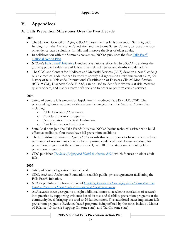# **V. Appendices**

# **A. Falls Prevention Milestones Over the Past Decade**

### **2005**

- The National Council on Aging (NCOA) hosts the first Falls Prevention Summit, with funding from the Archstone Foundation and the Home Safety Council, to focus attention on evidence-based solutions for falls and improve the lives of older adults.
- In collaboration with the Summit's conveners, NCOA publishes the first  $\text{Falls Free}^{\circledast}$  $\text{Falls Free}^{\circledast}$  $\text{Falls Free}^{\circledast}$ [National Action Plan.](http://www.ncoa.org/improve-health/center-for-healthy-aging/content-library/FallsFree_NationalActionPlan_Final.pdf)
- NCOA's [Falls Free® Initiative](http://www.ncoa.org/FallsFreeInitiative) launches as a national effort led by NCOA to address the growing public health issue of falls and fall-related injuries and deaths in older adults.
- The CDC and Centers for Medicare and Medicaid Services (CMS) develop a new V code (a billable medical code that can be used to specify a diagnosis on a reimbursement claim) for history of falls. This code, International Classification of Diseases-Clinical Modification (ICD -9-CM), Diagnosis Code V15.88, can be used to identify individuals at risk, measure quality of care, and justify a provider's decision to order or perform certain services.

### **2006**

- Safety of Seniors falls prevention legislation is introduced (S. 845 / H.R. 3701). The proposed legislation adopted evidence-based strategies from the National Action Plan including:
	- o Public Education/Awareness.
	- o Provider Education Programs.
	- o Demonstration Projects & Evaluation.
	- o Cost Effectiveness Evaluation.
- State Coalitions join the Falls Free® Initiative. NCOA begins technical assistance to build effective coalitions; four states have fall prevention coalitions.
- The U.S. Administration on Aging (AoA) awards three-year grants to 16 states to accelerate translation of research into practice by supporting evidence-based disease and disability prevention programs at the community level, with 10 of the states implementing falls prevention programs.
- CDC publishes *[The State of Aging and Health in America 2007](http://www.cdc.gov/aging/pdf/saha_2007.pdf)*, which focuses on older adult falls.

### **2007**

- Safety of Seniors legislation reintroduced.
- CDC, AoA and Archstone Foundation establish public-private agreement facilitating the Falls Free® Initiative.
- NCOA publishes the first-of-its-kind *Exploring [Practice in Home Safety for Fall Prevention: The](http://www.ncoa.org/improve-health/center-for-healthy-aging/content-library/Creative_Practices-Home_Safety_Report.pdf)  [Creative Practices in Home Safety Assessment and Modification Study](http://www.ncoa.org/improve-health/center-for-healthy-aging/content-library/Creative_Practices-Home_Safety_Report.pdf)*.
- AoA awards three-year grants to eight additional states to accelerate translation of research into practice by supporting evidence-based disease and disability prevention programs at the community level, bringing the total to 24 funded states. Five additional states implement falls prevention programs. Evidence-based programs being offered by the states include a Matter of Balance (13 states); Stepping On (one state); and Tai Chi (one state).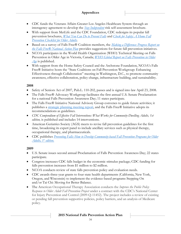#### **Appendices**

- CDC funds the Veterans Affairs Greater Los Angeles Healthcare System through an interagency agreement to develop the *[Stay Independent](http://www.cdc.gov/homeandrecreationalsafety/pdf/steadi-2015.04/Stay_Independent_brochure-a.pdf)* risk self-assessment brochure.
- With support from MetLife and the CDC Foundation, CDC redesigns its popular fall prevention brochures, *[What You Can Do to Prevent Falls](http://www.cdc.gov/HomeandRecreationalSafety/Falls/WhatYouCanDoToPreventFalls.html)* and *[Check for Safety: A Home Fall](http://www.cdc.gov/HomeandRecreationalSafety/Falls/CheckListForSafety.html)  [Prevention Checklist for Older Adults.](http://www.cdc.gov/HomeandRecreationalSafety/Falls/CheckListForSafety.html)*
- Based on a survey of Falls Free® Coalition members, the *[Making a Difference: Progress Report on](http://www.ncoa.org/improve-health/center-for-healthy-aging/content-library/NCOA18-Month-Falls-Report_FINAL.pdf)  [the Falls Free® National Action Plan](http://www.ncoa.org/improve-health/center-for-healthy-aging/content-library/NCOA18-Month-Falls-Report_FINAL.pdf)* provides suggestions for future fall prevention initiatives.
- NCOA participates in the World Health Organization (WHO) Technical Meeting on Falls Prevention in Older Age in Victoria, Canada; *[WHO Global Report on Falls Prevention in Older](http://www.who.int/ageing/publications/Falls_prevention7March.pdf)  [Age](http://www.who.int/ageing/publications/Falls_prevention7March.pdf)* is published.
- With support from the Home Safety Council and the Archstone Foundation, NCOA's Falls Free® Initiative hosts the "State Coalitions on Fall Prevention Workgroup: Enhancing Effectiveness through Collaboration" meeting in Washington, D.C., to promote community awareness, effective collaboration, policy change, infrastructure building, and sustainability.

### **2008**

- Safety of Seniors Act of 2007, Pub.L. 110-202, passes and is signed into law April 23, 2008.
- The Falls Free® Advocacy Workgroup facilitates the first annual U.S. Senate Proclamation for a national Falls Prevention Awareness Day; 11 states participate.
- The Falls Free® Initiative National Advisory Group convenes to guide future activities; it publishes a [strategic planning meeting report,](https://www.ncoa.org/resources/national-falls-free-initiative-report-from-the-national-advisory-group-strategic-planning-meeting/) and the Falls Free® Initiative adopts its recommendations as guidelines.
- **•** CDC Compendium of Effective Fall Interventions: What Works for Community-Dwelling Adults, 1st *edition,* is published and includes 14 interventions.
- American Geriatrics Society (AGS) meets to revise fall prevention guidelines for the first time, broadening its expert panel to include ancillary services such as physical therapy, occupational therapy, and pharmaceuticals.
- CDC publishes *[Preventing Falls: How to Develop Community-based Fall Prevention Programs for Older](http://stacks.cdc.gov/view/cdc/11477)  [Adults, 1](http://stacks.cdc.gov/view/cdc/11477)st edition.*

### **2009**

- U.S. Senate issues second annual Proclamation of Falls Prevention Awareness Day; 22 states participate.
- Congress increases CDC falls budget in the economic stimulus package; CDC funding for falls prevention increases from \$1 million to \$2 million.
- NCOA conducts review of state falls prevention policy and evaluation needs.
- CDC awards three-year grants to four state health departments (California, New York, Oregon, and Wisconsin) to implement the evidence-based programs Stepping On and/or Tai Chi: Moving for Better Balance.
- The American Occupational Therapy Association conducts the *Improve the Public Policy Response to Older Adult Fall Prevention Project* under a contract with the CDC's National Center for Injury Prevention and Control (2009-Q-11452). The project includes a review of existing or pending fall prevention supportive policies, policy barriers, and an analysis of Medicare policy.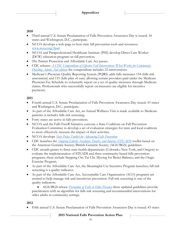### **2010**

- Third annual U.S. Senate Proclamation of Falls Prevention Awareness Day is issued; 34 states and Washington, D.C., participate.
- NCOA develops a web-page to host state fall prevention tools and resources: [www.ncoa.org/fpad](http://www.ncoa.org/fpad)
- NCOA and Paraprofessional Healthcare Institute (PHI) develop Direct Care Worker (DCW) education program on fall prevention.
- The Patient Protection and Affordable Care Act passes.
- CDC releases *[A CDC Compendium of Effective Fall Interventions: What Works for Community-](http://www.cdc.gov/HomeandRecreationalSafety/pdf/CDC_Falls_Compendium_lowres.pdf)[Dwelling Adults, 2nd edition](http://www.cdc.gov/HomeandRecreationalSafety/pdf/CDC_Falls_Compendium_lowres.pdf)*; the compendium includes 22 interventions.
- Medicare's Physician Quality Reporting System (PQRS) adds falls measures 154 (falls risk assessment) and 155 (falls plan of care) allowing certain providers paid under the Medicare Physician Fee Schedule to voluntarily report on a set of quality measures through Medicare claims. Professionals who successfully report on measures are eligible for incentive payments.

### **2011**

- Fourth annual U.S. Senate Proclamation of Falls Prevention Awareness Day issued; 43 states and Washington, D.C., participate.
- As part of the Affordable Care Act, an Annual Wellness Visit is made available to Medicare patients; it includes falls risk screening.
- Forty states are active in falls prevention.
- NCOA and the Falls Free® Initiative convene a State Coalitions on Fall Prevention Evaluation Committee to develop a set of evaluation strategies for state and local coalitions to more effectively measure the impact of their activities.
- NCOA develops *[State Policy Toolkit for Advancing Falls Prevention](https://www.ncoa.org/resources/state-policy-toolkit-for-advancing-fall-prevention/)*.
- CDC launches the *[Stopping Elderly Accidents, Deaths, and Injuries \(STEADI\)](http://www.cdc.gov/STEADI)* toolkit based on the American Geriatric Society/British Geriatric Society (AGS/BGS) guidelines.
- CDC awards grants to three state health departments (Colorado, New York, and Oregon) to evaluate the implementation of STEADI and three community-based falls prevention programs; these include Stepping On; Tai Chi: Moving for Better Balance; and the Otago Exercise Program.
- As part of the Affordable Care Act, the Meaningful Use Incentive Program launches; fall risk screening is a quality indicator.
- As part of the Affordable Care Act, Accountable Care Organization (ACO) programs are created to help manage risk and incentivize prevention. Fall risk screening is one of the quality indicators.
	- AGS/BGS release *[Prevention of Falls in Older Persons](http://www.medcats.com/FALLS/frameset.htm)*; these updated guidelines provide practitioners with an algorithm for falls risk screening and recommended interventions for older adults in community settings.

### **2012**

Fifth annual U.S. Senate Proclamation of Falls Prevention Awareness Day is issued; 43 states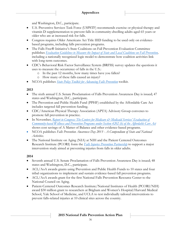and Washington, D.C., participate.

- U.S. Preventive Services Task Force (USPSTF) recommends exercise or physical therapy and vitamin D supplementation to prevent falls in community-dwelling adults aged 65 years or older who are at increased risk for falls.
- Congress requires Older Americans Act Title IIID funding to be used only on evidencebased programs, including falls prevention programs.
- The Falls Free® Initiative's State Coalitions on Fall Prevention Evaluation Committee publishes *[Evaluation Guidelines to Measure the Impact of State and Local Coalitions on Fall Prevention,](http://www.ncoa.org/improve-health/center-for-healthy-aging/falls-prevention/evaluation-guidelines/)*  including a nationally recognized logic model to demonstrate how coalition activities link with long-term outcomes.
- CDC's Behavioral Risk Factor Surveillance System (BRFSS) survey updates the questions it uses to measure the occurrence of falls in the U.S.:
	- o In the past 12 months, how many times have you fallen?
	- o How many of these falls caused an injury?
- NCOA publishes *[State Policy Toolkit for Advancing Falls Prevention](http://www.ncoa.org/improve-health/center-for-healthy-aging/falls-prevention/state-policy-toolkit-for.html)* toolkit.

### **2013**

- The sixth annual U.S. Senate Proclamation of Falls Prevention Awareness Day is issued; 47 states and Washington, D.C., participate.
- The Prevention and Public Health Fund (PPHF) established by the Affordable Care Act includes targeted fall prevention funding.
- CDC/American Physical Therapy Association (APTA) Advisory Group convenes to promote fall prevention in practice.
- **In November,** *Report to Congress: The Centers for Medicare*  $\mathcal{C}^*$  *Medicaid Services' Evaluation of [Community-based Wellness and Prevention Programs under Section 4202 \(b\) of the Affordable Care Act](http://innovation.cms.gov/Files/reports/CommunityWellnessRTC.pdf)* shows cost savings of A Matter of Balance and other evidence-based programs.
- NCOA publishes *Falls Prevention Awareness Day 2013 - A Compendium of State and National Activities.*
- The National Institute on Aging (NIA) at NIH and the Patient Centered Outcomes Research Institute (PCORI) form the *[Falls Injuries Prevention Partnership](http://www.pcori.org/news-release/pcori-national-institute-aging-agree-partner-developing-study-prevention-falls-injuries)* to support a major intervention study aimed at preventing injuries from falls in older adults.

### **2014**

- Seventh annual U.S. Senate Proclamation of Falls Prevention Awareness Day is issued; 48 states and Washington, D.C., participate.
- ACL/AoA awards grants using Prevention and Public Health Funds to 10 states and four tribal organizations to implement and sustain evidence-based fall prevention programs.
- ACL/AoA awards grant for the first National Falls Prevention Resource Center to the National Council on Aging.
- Patient-Centered Outcomes Research Institute/National Institutes of Health (PCORI/NIH) award \$30 million grant to researchers at Brigham and Women's Hospital/Harvard Medical School, Yale School of Medicine, and UCLA to test individually tailored interventions to prevent falls-related injuries at 10 clinical sites across the country.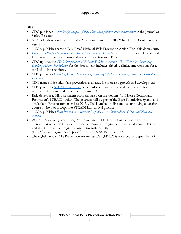### **Appendices**

#### **2015**

- CDC publishes *[A cost-benefit analysis of three older adult fall prevention interventions](http://www.sciencedirect.com/science/article/pii/S0022437514001170)* in the Journal of Safety Research.
- NCOA hosts second national Falls Prevention Summit, a 2015 White House Conference on Aging event.
- NCOA publishes second Falls Free® National Falls Prevention Action Plan (this document).
- *Frontiers in Public Health – [Public Health Education and Promotion](http://journal.frontiersin.org/researchtopic/evidence-based-programming-for-older-adults-2551)* journal features evidence-based falls prevention interventions and research as a Research Topic.
- CDC updates the *[CDC Compendium of Effective Fall Interventions: What Works for Community-](http://www.cdc.gov/homeandrecreationalsafety/Falls/compendium.html)[Dwelling Adults, 3rd Edition](http://www.cdc.gov/homeandrecreationalsafety/Falls/compendium.html)*; for the first time, it includes effective clinical interventions for a total of 41 interventions.
- **•** CDC publishes *<u>Preventing Falls: a Guide to Implementing Effective Community-Based Fall Prevention</u> [Programs](http://www.cdc.gov/homeandrecreationalsafety/Falls/community_preventfalls.html)*.
- CDC names older adult falls prevention as an area for increased growth and development.
- CDC promotes [STEADI Step](http://www.cdc.gov/steadi/) One*,* which asks primary care providers to screen for falls, review medications, and recommend vitamin D.
- Epic develops a falls assessment program based on the Centers for Disease Control and Prevention's STEADI toolkit. The program will be part of the Epic Foundation System and available to Epic customers in late 2015. CDC launches its first online continuing education course on how to incorporate STEADI into clinical practice.
- NCOA publishes *[Falls Prevention Awareness Day 2014 -](http://www.ncoa.org/assets/files/pdf/center-for-healthy-aging/Final-2014-Falls-Prevention-Awareness-Day-Compendium.pdf) A Compendium of State and National [Activities.](http://www.ncoa.org/assets/files/pdf/center-for-healthy-aging/Final-2014-Falls-Prevention-Awareness-Day-Compendium.pdf)*
- ACL/AoA awards grants using Prevention and Public Health Funds to seven states to increase participation in evidence-based community programs to reduce falls and falls risk, and also improve the programs' long-term sustainability (http://www.hhs.gov/news/press/2015pres/07/20150713a.html).
- The eighth annual Falls Prevention Awareness Day (FPAD) is observed on September 23.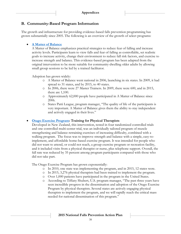### **B. Community-Based Program Information**

The growth and infrastructure for providing evidence-based falls prevention programming has grown substantially since 2005. The following is an overview of the growth of select programs:

#### **[A Matter of Balance](http://www.mainehealth.org/mob)**

A Matter of Balance emphasizes practical strategies to reduce fear of falling and increase activity levels. Participants learn to view falls and fear of falling as controllable, set realistic goals to increase activity, change their environment to reduce fall risk factors, and exercise to increase strength and balance. This evidence-based program has been adapted from the original intervention to be more suitable for community-dwelling older adults by allowing small group sessions to be led by a trained facilitator.

Adoption has grown widely:

- o A Matter of Balance went national in 2006, launching in six states. In 2009, it had spread to 31 states, and by 2015, to 40 states.
- o In 2006, there were 27 Master Trainers. In 2009, there were 600, and in 2015, there are 1,100.
- o Approximately 62,000 people have participated in A Matter of Balance since 2006.
- o States Patti League, program manager, "The quality of life of the participants is very important. A Matter of Balance gives them the ability to stay independent and actively engaged in their lives."

### **[Otago Exercise Program:](http://www.med.unc.edu/aging/cgec/exercise-program) Training for Physical Therapists**

Developed in New Zealand, this intervention, tested in four randomized controlled trials and one controlled multi-center trial, was an individually tailored program of muscle strengthening and balance-retraining exercises of increasing difficulty, combined with a walking program. The focus was to improve strength and balance with a simple, easy-toimplement, and affordable home-based exercise program. It was intended for people who did not want to attend, or could not reach, a group exercise program or recreation facility, and it included visits from a physical therapist or nurse, plus telephone support. Overall, the fall rate was reduced by 35 percent among program participants compared with those who did not take part.

The Otago Exercise Program has grown exponentially:

- o In 2010, one state was implementing the program, and in 2015, 12 states were.
- o In 2015, 3,276 physical therapists had been trained to implement the program.
- o Over 1,000 patients have participated in the program in the United States.
- o According to Tiffany Shubert, U.S. program manager, "The past three years have seen incredible progress in the dissemination and adoption of the Otago Exercise Program by physical therapists. Several states are actively engaging physical therapists to implement the program, and we will rapidly reach the critical mass needed for national dissemination of this program."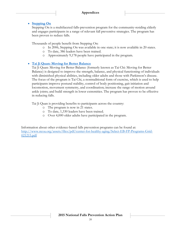### **[Stepping On](https://wihealthyaging.org/stepping-on)**

Stepping On is a multifaceted falls-prevention program for the community-residing elderly and engages participants in a range of relevant fall preventive strategies. The program has been proven to reduce falls.

Thousands of people benefit from Stepping On:

- o In 2006, Stepping On was available in one state; it is now available in 20 states.
- o To date, 386 leaders have been trained.
- o Approximately 9,178 people have participated in the program.

### **[Tai Ji Quan: Moving for Better Balance](http://www.tjqmbb.org/)**

Tai Ji Quan: Moving for Better Balance (formerly known as Tai Chi: Moving for Better Balance) is designed to improve the strength, balance, and physical functioning of individuals with diminished physical abilities, including older adults and those with Parkinson's disease. The focus of the program is Tai Chi, a nontraditional form of exercise, which is used to help participants improve postural stability, control of body positioning, gait initiation and locomotion, movement symmetry, and coordination; increase the range of motion around ankle joints; and build strength in lower extremities. The program has proven to be effective in reducing falls.

Tai Ji Quan is providing benefits to participants across the country:

- o The program is now in 21 states.
- o To date, 1,330 leaders have been trained.
- o Over 4,000 older adults have participated in the program.

Information about other evidence-based falls prevention programs can be found at: [http://www.ncoa.org/assets/files/pdf/center-for-healthy-aging/Select-EB-FP-Programs-Grid-](http://www.ncoa.org/assets/files/pdf/center-for-healthy-aging/Select-EB-FP-Programs-Grid-021215.pdf)[021215.pdf](http://www.ncoa.org/assets/files/pdf/center-for-healthy-aging/Select-EB-FP-Programs-Grid-021215.pdf)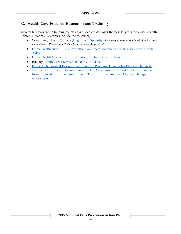# **C. Health Care Focused Education and Training**

Several falls prevention training courses have been created over the past 10 years for various healthrelated audiences. Examples include the following:

- Community Health Workers [\(English](http://www.aheconnect.com/cgec/cdetail.asp?courseid=cgec6) and [Spanish\)](http://www.aheconnect.com/cgec/cdetail.asp?courseid=texasphispanish) *Preparing Community Health Workers* and *Promotores to Prevent and Reduce Falls Among Older Adults*
- [Home Health Aides](http://www.aheconnect.com/cgec/cdetail.asp?courseid=cgec5) Falls Prevention Awareness: Advanced Training for Home Health Aides
- [Home Health Nurses](http://www.aheconnect.com/cgec/cdetail.asp?courseid=cgec1) Falls Prevention for Home Health Nurses
- **•** Primary [Health Care Providers \(CDC's STEADI\)](http://www.cdc.gov/steadi/)
- [Physical Therapists \(Otago\)](http://www.aheconnect.com/cgec/cdetail.asp?courseid=cgec3) Otago Exercise Program: Training for Physical Therapists
- [Management of Falls in Community-Dwelling Older Adults: Clinical Guidance Statement](http://www.ncbi.nlm.nih.gov/pubmed/25573760)  [from the Academy of Geriatric Physical Therapy of the American Physical Therapy](http://www.ncbi.nlm.nih.gov/pubmed/25573760)  [Association.](http://www.ncbi.nlm.nih.gov/pubmed/25573760)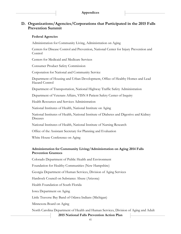# **D. Organizations/Agencies/Corporations that Participated in the 2015 Falls Prevention Summit**

#### **Federal Agencies**

Administration for Community Living, Administration on Aging

Centers for Disease Control and Prevention, National Center for Injury Prevention and Control

Centers for Medicaid and Medicare Services

Consumer Product Safety Commission

Corporation for National and Community Service

Department of Housing and Urban Development, Office of Healthy Homes and Lead Hazard Control

Department of Transportation, National Highway Traffic Safety Administration

Department of Veterans Affairs, VISN 8 Patient Safety Center of Inquiry

Health Resources and Services Administration

National Institutes of Health, National Institute on Aging

National Institutes of Health, National Institute of Diabetes and Digestive and Kidney Diseases

National Institutes of Health, National Institute of Nursing Research

Office of the Assistant Secretary for Planning and Evaluation

White House Conference on Aging

#### **Administration for Community Living/Administration on Aging 2014 Falls Prevention Grantees**

Colorado Department of Public Health and Environment

Foundation for Healthy Communities (New Hampshire)

Georgia Department of Human Services, Division of Aging Services

Hardrock Council on Substance Abuse (Arizona)

Health Foundation of South Florida

Iowa Department on Aging

Little Traverse Bay Band of Odawa Indians (Michigan)

Minnesota Board on Aging

North Carolina Department of Health and Human Services, Division of Aging and Adult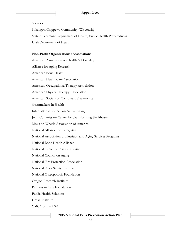#### Services

Sokaogon Chippewa Community (Wisconsin) State of Vermont Department of Health, Public Health Preparedness Utah Department of Health

#### **Non-Profit Organizations/Associations**

American Association on Health & Disability Alliance for Aging Research American Bone Health American Health Care Association American Occupational Therapy Association American Physical Therapy Association American Society of Consultant Pharmacists Grantmakers In Health International Council on Active Aging Joint Commission Center for Transforming Healthcare Meals on Wheels Association of America National Alliance for Caregiving National Association of Nutrition and Aging Services Programs National Bone Health Alliance National Center on Assisted Living National Council on Aging National Fire Protection Association National Floor Safety Institute National Osteoporosis Foundation Oregon Research Institute Partners in Care Foundation Public Health Solutions Urban Institute YMCA of the USA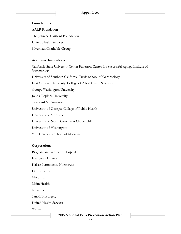#### **Foundations**

AARP Foundation The John A. Hartford Foundation United Health Services Silverman Charitable Group

#### **Academic Institutions**

California State University Center Fullerton Center for Successful Aging, Institute of Gerontology University of Southern California, Davis School of Gerontology East Carolina University, College of Allied Health Sciences George Washington University Johns Hopkins University Texas A&M University University of Georgia, College of Public Health University of Montana University of North Carolina at Chapel Hill University of Washington Yale University School of Medicine

#### **Corporations**

Brigham and Women's Hospital

Evergreen Estates

Kaiser Permanente Northwest

LifePlans, Inc.

Mac, Inc.

MaineHealth

Novartis

Sanofi Biosurgery

United Health Services

Walmart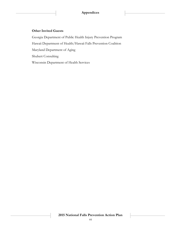#### **Other Invited Guests**

Georgia Department of Public Health Injury Prevention Program Hawaii Department of Health/Hawaii Falls Prevention Coalition Maryland Department of Aging Shubert Consulting Wisconsin Department of Health Services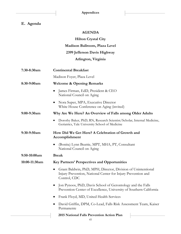# **E. Agenda**

### **AGENDA**

**Hilton Crystal City Madison Ballroom, Plaza Level 2399 Jefferson Davis Highway Arlington, Virginia**

| 7:30-8:30am   | <b>Continental Breakfast</b>                                                                                                                  |
|---------------|-----------------------------------------------------------------------------------------------------------------------------------------------|
|               | Madison Foyer, Plaza Level                                                                                                                    |
| 8:30-9:00am   | <b>Welcome &amp; Opening Remarks</b>                                                                                                          |
|               | James Firman, EdD, President & CEO<br>National Council on Aging                                                                               |
|               | Nora Super, MPA, Executive Director<br>White House Conference on Aging (invited)                                                              |
| 9:00-9:30am   | Why Are We Here? An Overview of Falls among Older Adults                                                                                      |
|               | Dorothy Baker, PhD, RN, Research Scientist/Scholar, Internal Medicine,<br>Geriatrics, Yale University School of Medicine                      |
| $9:30-9:50am$ | How Did We Get Here? A Celebration of Growth and<br>Accomplishment                                                                            |
|               | (Bonita) Lynn Beattie, MPT, MHA, PT, Consultant<br>National Council on Aging                                                                  |
| 9:50-10:00am  | <b>Break</b>                                                                                                                                  |
| 10:00-11:30am | <b>Key Partners' Perspectives and Opportunities</b>                                                                                           |
|               | Grant Baldwin, PhD, MPH, Director, Division of Unintentional<br>Injury Prevention, National Center for Injury Prevention and<br>Control, CDC  |
|               | Jon Pynoos, PhD, Davis School of Gerontology and the Falls<br>$\bullet$<br>Prevention Center of Excellence, University of Southern California |
|               | Frank Floyd, MD, United Health Services<br>$\bullet$                                                                                          |
|               | David Griffin, DPM, Co-Lead, Falls Risk Assessment Team, Kaiser<br>Permanente                                                                 |
|               | 2015 National Falls Prevention Action Plan                                                                                                    |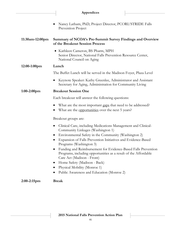|                 | Appendices                                                                                                                                                                                                                                                                                                                                                                                                                                                                                                                                                                  |
|-----------------|-----------------------------------------------------------------------------------------------------------------------------------------------------------------------------------------------------------------------------------------------------------------------------------------------------------------------------------------------------------------------------------------------------------------------------------------------------------------------------------------------------------------------------------------------------------------------------|
|                 | Nancy Latham, PhD, Project Director, PCORI/STRIDE Falls<br>Prevention Project                                                                                                                                                                                                                                                                                                                                                                                                                                                                                               |
| 11:30am-12:00pm | Summary of NCOA's Pre-Summit Survey Findings and Overview<br>of the Breakout Session Process                                                                                                                                                                                                                                                                                                                                                                                                                                                                                |
|                 | • Kathleen Cameron, BS Pharm, MPH<br>Senior Director, National Falls Prevention Resource Center,<br>National Council on Aging                                                                                                                                                                                                                                                                                                                                                                                                                                               |
| $12:00-1:00$ pm | Lunch                                                                                                                                                                                                                                                                                                                                                                                                                                                                                                                                                                       |
|                 | The Buffet Lunch will be served in the Madison Foyer, Plaza Level                                                                                                                                                                                                                                                                                                                                                                                                                                                                                                           |
|                 | Keynote Speaker: Kathy Greenlee, Administrator and Assistant<br>$\bullet$<br>Secretary for Aging, Administration for Community Living                                                                                                                                                                                                                                                                                                                                                                                                                                       |
| $1:00-2:00$ pm  | <b>Breakout Session One</b>                                                                                                                                                                                                                                                                                                                                                                                                                                                                                                                                                 |
|                 | Each breakout will answer the following questions:                                                                                                                                                                                                                                                                                                                                                                                                                                                                                                                          |
|                 | What are the most important gaps that need to be addressed?<br>$\bullet$<br>What are the opportunities over the next 5 years?                                                                                                                                                                                                                                                                                                                                                                                                                                               |
|                 | Breakout groups are:                                                                                                                                                                                                                                                                                                                                                                                                                                                                                                                                                        |
|                 | Clinical Care, including Medications Management and Clinical-<br>$\bullet$<br>Community Linkages (Washington 1)<br>Environmental Safety in the Community (Washington 2)<br>$\bullet$<br>Expansion of Falls Prevention Initiatives and Evidence-Based<br>Programs (Washington 3)<br>Funding and Reimbursement for Evidence-Based Falls Prevention<br>Programs, including opportunities as a result of the Affordable<br>Care Act (Madison - Front)<br>Home Safety (Madison - Back)<br>Physical Mobility (Monroe 1)<br>$\bullet$<br>Public Awareness and Education (Monroe 2) |
| $2:00-2:15$ pm  | <b>Break</b>                                                                                                                                                                                                                                                                                                                                                                                                                                                                                                                                                                |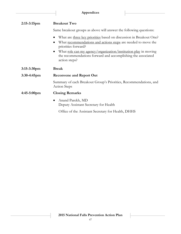| $2:15-3:15$ pm        | <b>Breakout Two</b>                                                                                                                                                  |
|-----------------------|----------------------------------------------------------------------------------------------------------------------------------------------------------------------|
|                       | Same breakout groups as above will answer the following questions:                                                                                                   |
|                       | What are <u>three key priorities</u> based on discussion in Breakout One?<br>What recommendations and actions steps are needed to move the<br>priorities forward?    |
|                       | What <u>role can my agency/organization/institution play</u> in moving<br>$\bullet$<br>the recommendations forward and accomplishing the associated<br>action steps? |
| $3:15-3:30$ pm        | <b>Break</b>                                                                                                                                                         |
| $3:30-4:45$ pm        | <b>Reconvene and Report Out</b>                                                                                                                                      |
|                       | Summary of each Breakout Group's Priorities, Recommendations, and<br>Action Steps                                                                                    |
| $4:45-5:00 \text{pm}$ | <b>Closing Remarks</b>                                                                                                                                               |
|                       | Anand Parekh, MD<br>$\bullet$<br>Deputy Assistant Secretary for Health                                                                                               |

Office of the Assistant Secretary for Health, DHHS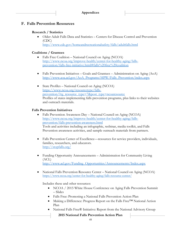### **F. Falls Prevention Resources**

#### **Research / Statistics**

 Older Adult Falls Data and Statistics – Centers for Disease Control and Prevention (CDC) <http://www.cdc.gov/homeandrecreationalsafety/falls/adultfalls.html>

#### **Coalitions / Grantees**

- Falls Free Coalition National Council on Aging (NCOA) [http://www.ncoa.org/improve-health/center-for-healthy-aging/falls](http://www.ncoa.org/improve-health/center-for-healthy-aging/falls-prevention/falls-free-initiative.html#falls%20free%20coalition)[prevention/falls-free-initiative.html#falls%20free%20coalition](http://www.ncoa.org/improve-health/center-for-healthy-aging/falls-prevention/falls-free-initiative.html#falls%20free%20coalition)
- Falls Prevention Initiatives Goals and Grantees Administration on Aging  $(A \circ A)$ [http://www.aoa.acl.gov/AoA\\_Programs/HPW/Falls\\_Prevention/index.aspx](http://www.aoa.acl.gov/AoA_Programs/HPW/Falls_Prevention/index.aspx)
- State Profiles National Council on Aging (NCOA) [https://www.ncoa.org/resourcetype/falls](https://www.ncoa.org/resourcetype/falls-prevention/?rg_resource_type=7&post_type=ncoaresource)[prevention/?rg\\_resource\\_type=7&post\\_type=ncoaresource](https://www.ncoa.org/resourcetype/falls-prevention/?rg_resource_type=7&post_type=ncoaresource) Profiles of states implementing falls prevention programs, plus links to their websites and outreach materials.

#### **Falls Prevention Initiatives**

- Falls Prevention Awareness Day National Council on Aging (NCOA) [http://www.ncoa.org/improve-health/center-for-healthy-aging/falls](http://www.ncoa.org/improve-health/center-for-healthy-aging/falls-prevention/falls-prevention-awareness.html)[prevention/falls-prevention-awareness.html](http://www.ncoa.org/improve-health/center-for-healthy-aging/falls-prevention/falls-prevention-awareness.html) Tools and activities including an infographic, webinar, media toolkit, and Falls Prevention awareness activities, and sample outreach materials from partners.
- Falls Prevention Center of Excellence—resources for service providers, individuals, families, researchers, and educators. <http://stopfalls.org/>
- Funding Opportunity Announcements Administration for Community Living (ACL) [http://www.acl.gov/Funding\\_Opportunities/Announcements/Index.aspx](http://www.acl.gov/Funding_Opportunities/Announcements/Index.aspx)
- National Falls Prevention Resource Center National Council on Aging (NCOA) <https://www.ncoa.org/center-for-healthy-aging/falls-resource-center/>

Includes these and other resources:

- NCOA / 2015 White House Conference on Aging Falls Prevention Summit – Slides
- Falls Free: Promoting a National Falls Prevention Action Plan
- Making a Difference: Progress Report on the Falls Free™ National Action Plan
- National Falls Free® Initiative: Report from the National Advisory Group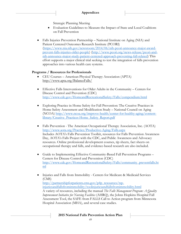Strategic Planning Meeting

- Evaluation Guidelines to Measure the Impact of State and Local Coalitions on Fall Prevention
- Falls Injuries Prevention Partnership National Institute on Aging (NIA) and Patient Centered Outcomes Research Institute (PCORI) [\(https://www.nia.nih.gov/newsroom/2014/06/nih-pcori-announce-major-award](https://www.nia.nih.gov/newsroom/2014/06/nih-pcori-announce-major-award-prevent-falls-injuries-older-people)[prevent-falls-injuries-older-people\)](https://www.nia.nih.gov/newsroom/2014/06/nih-pcori-announce-major-award-prevent-falls-injuries-older-people) [\(http://www.pcori.org/news-release/pcori-and](http://www.pcori.org/news-release/pcori-and-nih-announce-major-study-patient-centered-approach-preventing-fall-related)[nih-announce-major-study-patient-centered-approach-preventing-fall-related\)](http://www.pcori.org/news-release/pcori-and-nih-announce-major-study-patient-centered-approach-preventing-fall-related) This effort supports a major clinical trial seeking to test the integration of falls prevention approaches into various health care systems.

### **Programs / Resources for Professionals**

- CEU Courses American Physical Therapy Association (APTA) <http://www.apta.org/BalanceFalls/>
- Effective Falls Interventions for Older Adults in the Community Centers for Disease Control and Prevention (CDC) <http://www.cdc.gov/HomeandRecreationalSafety/Falls/compendium.html>
- Exploring Practice in Home Safety for Fall Prevention: The Creative Practices in Home Safety Assessment and Modification Study – National Council on Aging (NCOA) [http://www.ncoa.org/improve-health/center-for-healthy-aging/content](http://www.ncoa.org/improve-health/center-for-healthy-aging/content-library/Creative_Practices-Home_Safety_Report.pdf)[library/Creative\\_Practices-Home\\_Safety\\_Report.pdf](http://www.ncoa.org/improve-health/center-for-healthy-aging/content-library/Creative_Practices-Home_Safety_Report.pdf)
- Falls Prevention The American Occupational Therapy Association, Inc. (AOTA) <http://www.aota.org/Practice/Productive-Aging/Falls.aspx> Includes AOTA's Falls Prevention Toolkit, resources for Falls Prevention Awareness Day, AOTA's Falls Project with the CDC, and Public Awareness and Advocacy resources. Online professional development courses, tip sheets, fact sheets on occupational therapy and falls, and evidence-based research are also included.
- Guide to Implementing Effective Community-Based Fall Prevention Programs Centers for Disease Control and Prevention (CDC) [http://www.cdc.gov/HomeandRecreationalSafety/Falls/community\\_preventfalls.ht](http://www.cdc.gov/HomeandRecreationalSafety/Falls/community_preventfalls.html) [ml](http://www.cdc.gov/HomeandRecreationalSafety/Falls/community_preventfalls.html)
- Injuries and Falls from Immobility Centers for Medicare & Medicaid Services (CMS) [http://partnershipforpatients.cms.gov/p4p\\_resources/tsp](http://partnershipforpatients.cms.gov/p4p_resources/tsp-injuriesandfallsfromimmobility/toolinjuriesandfallsfromimmobility.html)[injuriesandfallsfromimmobility/toolinjuriesandfallsfromimmobility.html](http://partnershipforpatients.cms.gov/p4p_resources/tsp-injuriesandfallsfromimmobility/toolinjuriesandfallsfromimmobility.html) A variety of resources, including the manual *The Falls Management Program: A Quality Improvement Initiative for Nursing Facilities* (AHRQ), the Johns Hopkins Hospital Fall Assessment Tool, the SAFE from FALLS Call to Action program from Minnesota Hospital Association (MHA), and several case studies.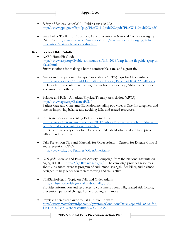- Safety of Seniors Act of 2007, Public Law 110-202 <http://www.gpo.gov/fdsys/pkg/PLAW-110publ202/pdf/PLAW-110publ202.pdf>
- State Policy Toolkit for Advancing Falls Prevention National Council on Aging (NCOA) [http://www.ncoa.org/improve-health/center-for-healthy-aging/falls](http://www.ncoa.org/improve-health/center-for-healthy-aging/falls-prevention/state-policy-toolkit-for.html)[prevention/state-policy-toolkit-for.html](http://www.ncoa.org/improve-health/center-for-healthy-aging/falls-prevention/state-policy-toolkit-for.html)

#### **Resources for Older Adults**

 AARP HomeFit Guide [http://www.aarp.org/livable-communities/info-2014/aarp-home-fit-guide-aging-in](http://www.aarp.org/livable-communities/info-2014/aarp-home-fit-guide-aging-in-place.html)[place.html](http://www.aarp.org/livable-communities/info-2014/aarp-home-fit-guide-aging-in-place.html) Smart solutions for making a home comfortable, safe, and a great fit.

 American Occupational Therapy Association (AOTA) Tips for Older Adults <http://www.aota.org/About-Occupational-Therapy/Patients-Clients/Adults.aspx> Includes falls prevention, remaining in your home as you age, Alzheimer's disease, low vision, and others.

- Balance and Falls American Physical Therapy Association (APTA) <http://www.apta.org/BalanceFalls/> Patient Care and Consumer Education including two videos: One for caregivers and one on improving balance and avoiding falls, and related resources.
- Eldercare Locator Preventing Falls at Home Brochure [http://www.eldercare.gov/Eldercare.NET/Public/Resources/Brochures/docs/Pre](http://www.eldercare.gov/Eldercare.NET/Public/Resources/Brochures/docs/Preventing_Falls_Brochure_pagebypage.pdf) [venting\\_Falls\\_Brochure\\_pagebypage.pdf](http://www.eldercare.gov/Eldercare.NET/Public/Resources/Brochures/docs/Preventing_Falls_Brochure_pagebypage.pdf) Offers a home safety check to help people understand what to do to help prevent falls around the home.
- Falls Prevention Tips and Materials for Older Adults Centers for Disease Control and Prevention (CDC) <http://www.cdc.gov/Features/OlderAmericans/>
- *Go4Life*® Exercise and Physical Activity Campaign from the National Institute on Aging at NIH -- <https://go4life.nia.nih.gov/> - The campaign provides resources about a balanced exercise program of endurance, strength, flexibility, and balance designed to help older adults start moving and stay active.
- NIHSeniorHealth Topic on Falls and Older Adults <http://nihseniorhealth.gov/falls/aboutfalls/01.html> Provides information and resources to consumers about falls, related risk factors, prevention, personal change, home proofing, and more.
- Physical Therapist's Guide to Falls Move Forward [http://www.moveforwardpt.com/SymptomsConditionsDetail.aspx?cid=85726fb6-](http://www.moveforwardpt.com/SymptomsConditionsDetail.aspx?cid=85726fb6-14c4-4c16-9a4c-3736dceac9f0#.VWY72Eb58jI) [14c4-4c16-9a4c-3736dceac9f0#.VWY72Eb58jI](http://www.moveforwardpt.com/SymptomsConditionsDetail.aspx?cid=85726fb6-14c4-4c16-9a4c-3736dceac9f0#.VWY72Eb58jI)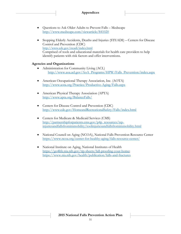- Questions to Ask Older Adults to Prevent Falls Medscape <http://www.medscape.com/viewarticle/841020>
- Stopping Elderly Accidents, Deaths and Injuries (STEADI) Centers for Disease Control and Prevention (CDC) <http://www.cdc.gov/steadi/index.html> Comprised of tools and educational materials for health care providers to help identify patients with risk factors and offer interventions.

#### **Agencies and Organizations**

- Administration for Community Living (ACL) [http://www.aoa.acl.gov/AoA\\_Programs/HPW/Falls\\_Prevention/index.aspx](http://www.aoa.acl.gov/AoA_Programs/HPW/Falls_Prevention/index.aspx)
- American Occupational Therapy Association, Inc. (AOTA) <http://www.aota.org/Practice/Productive-Aging/Falls.aspx>
- American Physical Therapy Association (APTA) <http://www.apta.org/BalanceFalls/>
- Centers for Disease Control and Prevention (CDC) <http://www.cdc.gov/HomeandRecreationalSafety/Falls/index.html>
- Centers for Medicare & Medicaid Services (CMS) [http://partnershipforpatients.cms.gov/p4p\\_resources/tsp](http://partnershipforpatients.cms.gov/p4p_resources/tsp-injuriesandfallsfromimmobility/toolinjuriesandfallsfromimmobility.html)[injuriesandfallsfromimmobility/toolinjuriesandfallsfromimmobility.html](http://partnershipforpatients.cms.gov/p4p_resources/tsp-injuriesandfallsfromimmobility/toolinjuriesandfallsfromimmobility.html)
- National Council on Aging (NCOA), National Falls Prevention Resource Center <https://www.ncoa.org/center-for-healthy-aging/falls-resource-center/>
- National Institute on Aging, National Institutes of Health [https://go4life.nia.nih.gov/tip-sheets/fall-proofing-your-home;](https://go4life.nia.nih.gov/tip-sheets/fall-proofing-your-home) <https://www.nia.nih.gov/health/publication/falls-and-fractures>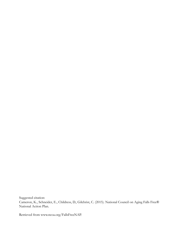Suggested citation: Cameron, K., Schneider, E., Childress, D., Gilchrist, C. (2015). National Council on Aging Falls Free® National Action Plan.

Retrieved from www.ncoa.org/FallsFreeNAP.